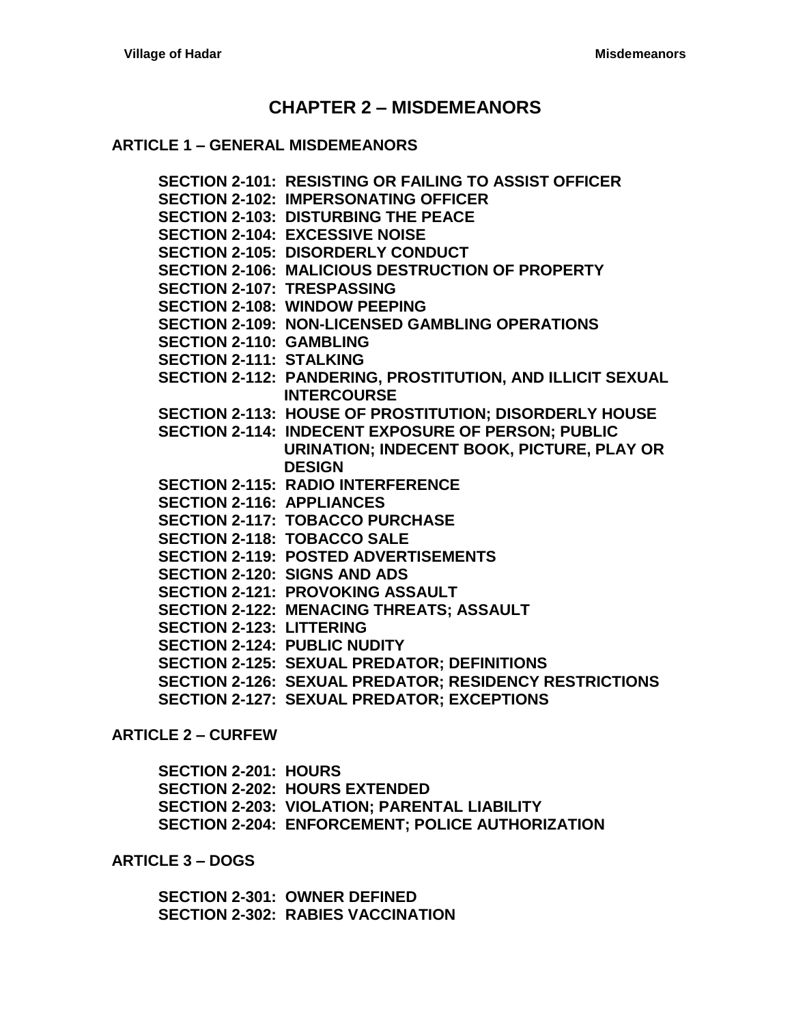# **CHAPTER 2 – [MISDEMEANORS](#page-2-0)**

#### **ARTICLE 1 – [GENERAL MISDEMEANORS](#page-2-1)**

**[SECTION 2-101: RESISTING OR FAILING](#page-2-2) TO ASSIST OFFICER [SECTION 2-102: IMPERSONATING OFFICER](#page-2-3) [SECTION 2-103: DISTURBING THE](#page-2-4) PEACE [SECTION 2-104: EXCESSIVE NOISE](#page-2-5) [SECTION 2-105: DISORDERLY CONDUCT](#page-2-6) [SECTION 2-106: MALICIOUS DESTRUCTION OF PROPERTY](#page-2-7) [SECTION 2-107: TRESPASSING](#page-3-0) [SECTION 2-108: WINDOW PEEPING](#page-3-1) [SECTION 2-109: NON-LICENSED GAMBLING OPERATIONS](#page-3-2) [SECTION 2-110: GAMBLING](#page-3-3) [SECTION 2-111: STALKING](#page-3-4) [SECTION 2-112: PANDERING, PROSTITUTION, AND ILLICIT SEXUAL](#page-3-5)  [INTERCOURSE](#page-3-5) [SECTION 2-113: HOUSE OF PROSTITUTION; DISORDERLY HOUSE](#page-3-6) [SECTION 2-114: INDECENT EXPOSURE OF PERSON; PUBLIC](#page-4-0)  [URINATION; INDECENT BOOK, PICTURE, PLAY OR](#page-4-0)  [DESIGN](#page-4-0) [SECTION 2-115: RADIO INTERFERENCE](#page-4-1) [SECTION 2-116: APPLIANCES](#page-4-2) [SECTION 2-117: TOBACCO PURCHASE](#page-4-3) [SECTION 2-118: TOBACCO SALE](#page-4-4) [SECTION 2-119: POSTED ADVERTISEMENTS](#page-5-0) [SECTION 2-120: SIGNS AND ADS](#page-5-1) [SECTION 2-121: PROVOKING ASSAULT](#page-5-2) [SECTION 2-122: MENACING THREATS; ASSAULT](#page-5-3) [SECTION 2-123: LITTERING](#page-5-4) [SECTION 2-124: PUBLIC NUDITY](#page-6-0) [SECTION 2-125: SEXUAL PREDATOR; DEFINITIONS](#page-7-0) [SECTION 2-126: SEXUAL PREDATOR; RESIDENCY RESTRICTIONS](#page-7-1) [SECTION 2-127: SEXUAL PREDATOR; EXCEPTIONS](#page-8-0)**

**[ARTICLE 2 –](#page-9-0) CURFEW**

**[SECTION 2-201: HOURS](#page-9-1) [SECTION 2-202: HOURS EXTENDED](#page-9-2) [SECTION 2-203: VIOLATION; PARENTAL LIABILITY](#page-9-3) [SECTION 2-204: ENFORCEMENT; POLICE AUTHORIZATION](#page-9-4)**

**[ARTICLE 3 –](#page-10-0) DOGS**

**[SECTION 2-301: OWNER DEFINED](#page-10-1) [SECTION 2-302: RABIES VACCINATION](#page-10-2)**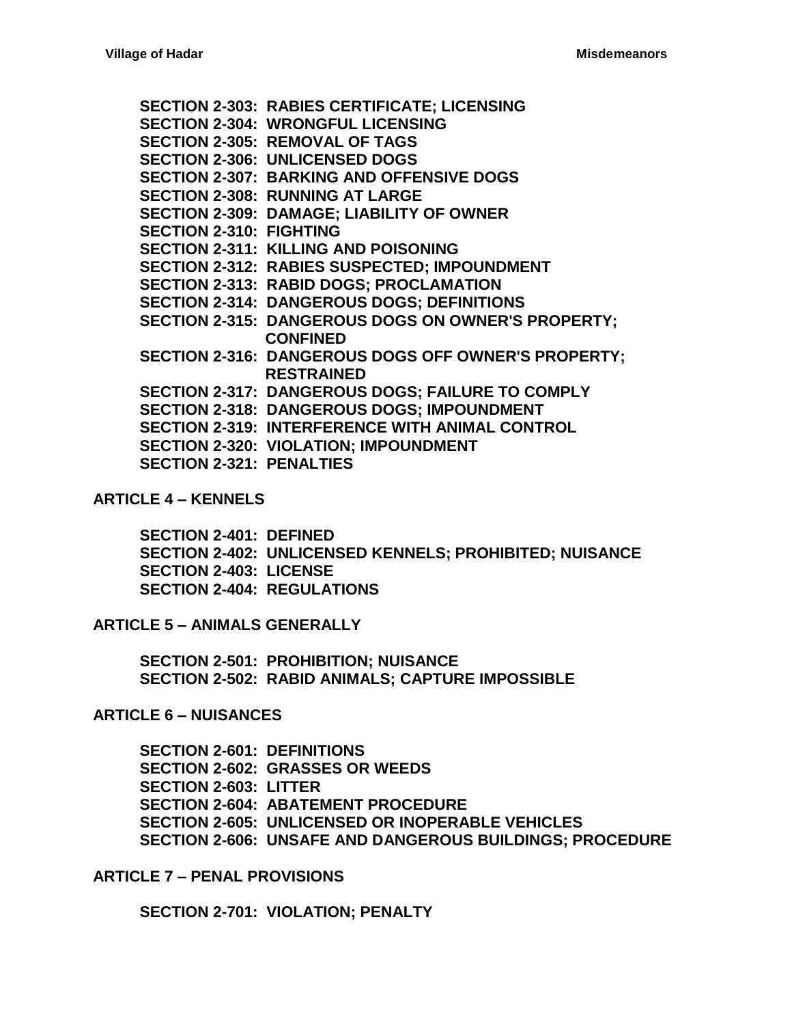**[SECTION 2-303: RABIES CERTIFICATE; LICENSING](#page-10-3) [SECTION 2-304: WRONGFUL LICENSING](#page-10-4) [SECTION 2-305: REMOVAL OF TAGS](#page-11-0) [SECTION 2-306: UNLICENSED DOGS](#page-11-1) [SECTION 2-307: BARKING AND OFFENSIVE DOGS](#page-11-2) [SECTION 2-308: RUNNING AT LARGE](#page-11-3) [SECTION 2-309: DAMAGE; LIABILITY OF OWNER](#page-11-4) [SECTION 2-310: FIGHTING](#page-11-5) [SECTION 2-311: KILLING AND POISONING](#page-12-0) [SECTION 2-312: RABIES SUSPECTED; IMPOUNDMENT](#page-12-1) [SECTION 2-313: RABID DOGS; PROCLAMATION](#page-12-2) [SECTION 2-314: DANGEROUS DOGS; DEFINITIONS](#page-12-3) [SECTION 2-315: DANGEROUS DOGS](#page-13-0) ON OWNER'S PROPERTY; [CONFINED](#page-13-0) [SECTION 2-316: DANGEROUS DOGS](#page-14-0) OFF OWNER'S PROPERTY; [RESTRAINED](#page-14-0) [SECTION 2-317: DANGEROUS DOGS; FAILURE TO COMPLY](#page-14-1) [SECTION 2-318: DANGEROUS DOGS; IMPOUNDMENT](#page-14-2) [SECTION 2-319: INTERFERENCE WITH ANIMAL CONTROL](#page-14-3) [SECTION 2-320: VIOLATION; IMPOUNDMENT](#page-15-0) [SECTION 2-321: PENALTIES](#page-15-1)**

## **[ARTICLE 4 –](#page-16-0) KENNELS**

**[SECTION 2-401: DEFINED](#page-16-1) [SECTION 2-402: UNLICENSED KENNELS; PROHIBITED; NUISANCE](#page-16-2) [SECTION 2-403: LICENSE](#page-16-3) [SECTION 2-404: REGULATIONS](#page-16-4)**

#### **ARTICLE 5 – [ANIMALS GENERALLY](#page-18-0)**

**[SECTION 2-501: PROHIBITION; NUISANCE](#page-18-1) [SECTION 2-502: RABID ANIMALS;](#page-18-2) CAPTURE IMPOSSIBLE**

#### **[ARTICLE 6 –](#page-20-0) NUISANCES**

**[SECTION 2-601: DEFINITIONS](#page-20-1) [SECTION 2-602: GRASSES OR WEEDS](#page-21-0) [SECTION 2-603: LITTER](#page-21-1) [SECTION 2-604: ABATEMENT PROCEDURE](#page-21-2) [SECTION 2-605: UNLICENSED OR INOPERABLE VEHICLES](#page-22-0) [SECTION 2-606: UNSAFE AND DANGEROUS BUILDINGS; PROCEDURE](#page-23-0)**

**ARTICLE 7 – [PENAL PROVISIONS](#page-26-0)**

**[SECTION 2-701: VIOLATION; PENALTY](#page-26-1)**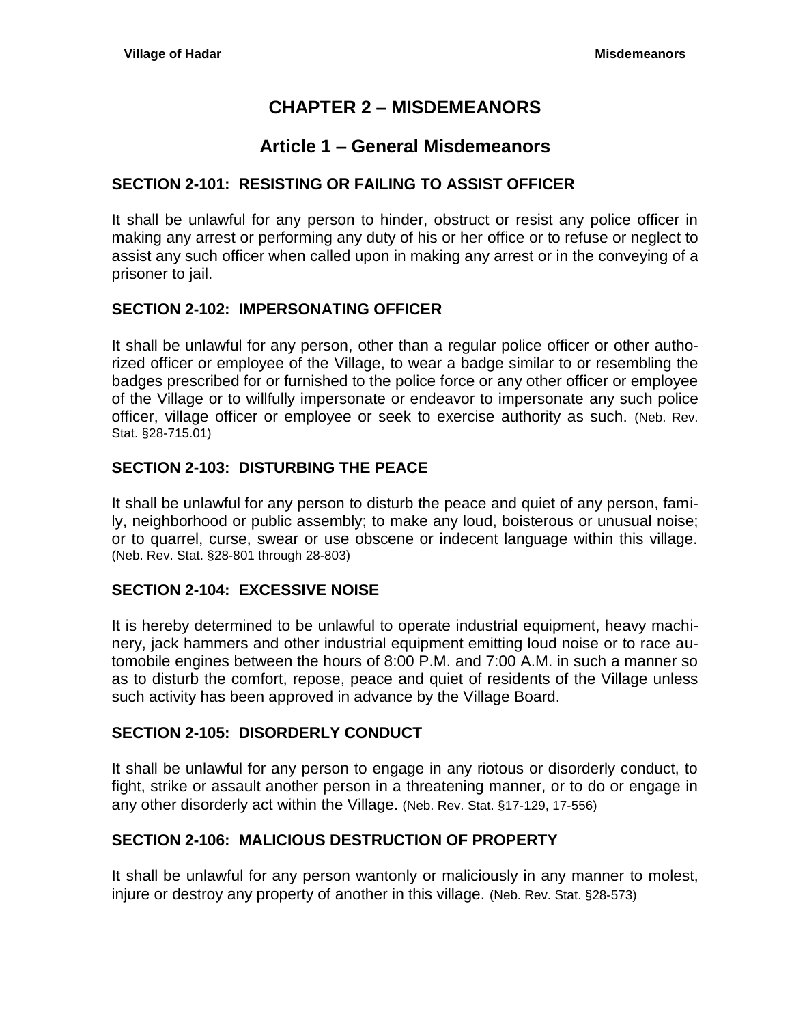# **CHAPTER 2 – MISDEMEANORS**

# **Article 1 – General Misdemeanors**

## <span id="page-2-2"></span><span id="page-2-1"></span><span id="page-2-0"></span>**SECTION 2-101: RESISTING OR FAILING TO ASSIST OFFICER**

It shall be unlawful for any person to hinder, obstruct or resist any police officer in making any arrest or performing any duty of his or her office or to refuse or neglect to assist any such officer when called upon in making any arrest or in the conveying of a prisoner to jail.

## <span id="page-2-3"></span>**SECTION 2-102: IMPERSONATING OFFICER**

It shall be unlawful for any person, other than a regular police officer or other authorized officer or employee of the Village, to wear a badge similar to or resembling the badges prescribed for or furnished to the police force or any other officer or employee of the Village or to willfully impersonate or endeavor to impersonate any such police officer, village officer or employee or seek to exercise authority as such. (Neb. Rev. Stat. §28-715.01)

## <span id="page-2-4"></span>**SECTION 2-103: DISTURBING THE PEACE**

It shall be unlawful for any person to disturb the peace and quiet of any person, family, neighborhood or public assembly; to make any loud, boisterous or unusual noise; or to quarrel, curse, swear or use obscene or indecent language within this village. (Neb. Rev. Stat. §28-801 through 28-803)

## <span id="page-2-5"></span>**SECTION 2-104: EXCESSIVE NOISE**

It is hereby determined to be unlawful to operate industrial equipment, heavy machinery, jack hammers and other industrial equipment emitting loud noise or to race automobile engines between the hours of 8:00 P.M. and 7:00 A.M. in such a manner so as to disturb the comfort, repose, peace and quiet of residents of the Village unless such activity has been approved in advance by the Village Board.

## <span id="page-2-6"></span>**SECTION 2-105: DISORDERLY CONDUCT**

It shall be unlawful for any person to engage in any riotous or disorderly conduct, to fight, strike or assault another person in a threatening manner, or to do or engage in any other disorderly act within the Village. (Neb. Rev. Stat. §17-129, 17-556)

# <span id="page-2-7"></span>**SECTION 2-106: MALICIOUS DESTRUCTION OF PROPERTY**

It shall be unlawful for any person wantonly or maliciously in any manner to molest, injure or destroy any property of another in this village. (Neb. Rev. Stat. §28-573)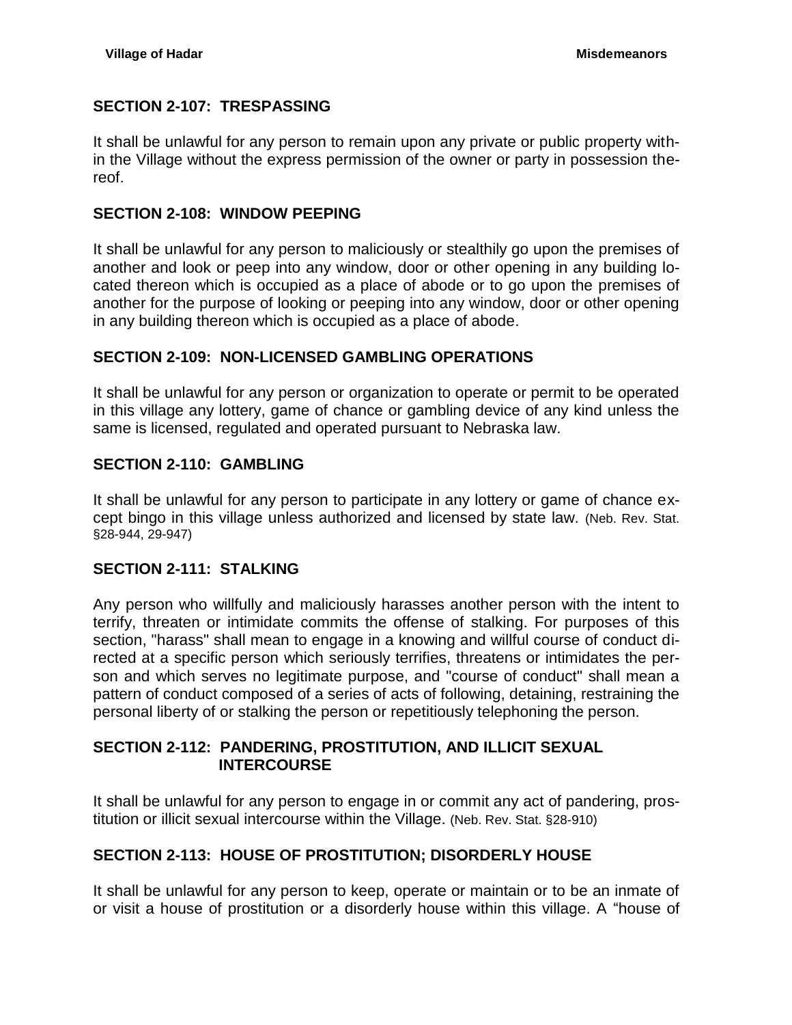## <span id="page-3-0"></span>**SECTION 2-107: TRESPASSING**

It shall be unlawful for any person to remain upon any private or public property within the Village without the express permission of the owner or party in possession thereof.

#### <span id="page-3-1"></span>**SECTION 2-108: WINDOW PEEPING**

It shall be unlawful for any person to maliciously or stealthily go upon the premises of another and look or peep into any window, door or other opening in any building located thereon which is occupied as a place of abode or to go upon the premises of another for the purpose of looking or peeping into any window, door or other opening in any building thereon which is occupied as a place of abode.

## <span id="page-3-2"></span>**SECTION 2-109: NON-LICENSED GAMBLING OPERATIONS**

It shall be unlawful for any person or organization to operate or permit to be operated in this village any lottery, game of chance or gambling device of any kind unless the same is licensed, regulated and operated pursuant to Nebraska law.

## <span id="page-3-3"></span>**SECTION 2-110: GAMBLING**

It shall be unlawful for any person to participate in any lottery or game of chance except bingo in this village unless authorized and licensed by state law. (Neb. Rev. Stat. §28-944, 29-947)

## <span id="page-3-4"></span>**SECTION 2-111: STALKING**

Any person who willfully and maliciously harasses another person with the intent to terrify, threaten or intimidate commits the offense of stalking. For purposes of this section, "harass" shall mean to engage in a knowing and willful course of conduct directed at a specific person which seriously terrifies, threatens or intimidates the person and which serves no legitimate purpose, and "course of conduct" shall mean a pattern of conduct composed of a series of acts of following, detaining, restraining the personal liberty of or stalking the person or repetitiously telephoning the person.

## <span id="page-3-5"></span>**SECTION 2-112: PANDERING, PROSTITUTION, AND ILLICIT SEXUAL INTERCOURSE**

It shall be unlawful for any person to engage in or commit any act of pandering, prostitution or illicit sexual intercourse within the Village. (Neb. Rev. Stat. §28-910)

## <span id="page-3-6"></span>**SECTION 2-113: HOUSE OF PROSTITUTION; DISORDERLY HOUSE**

It shall be unlawful for any person to keep, operate or maintain or to be an inmate of or visit a house of prostitution or a disorderly house within this village. A "house of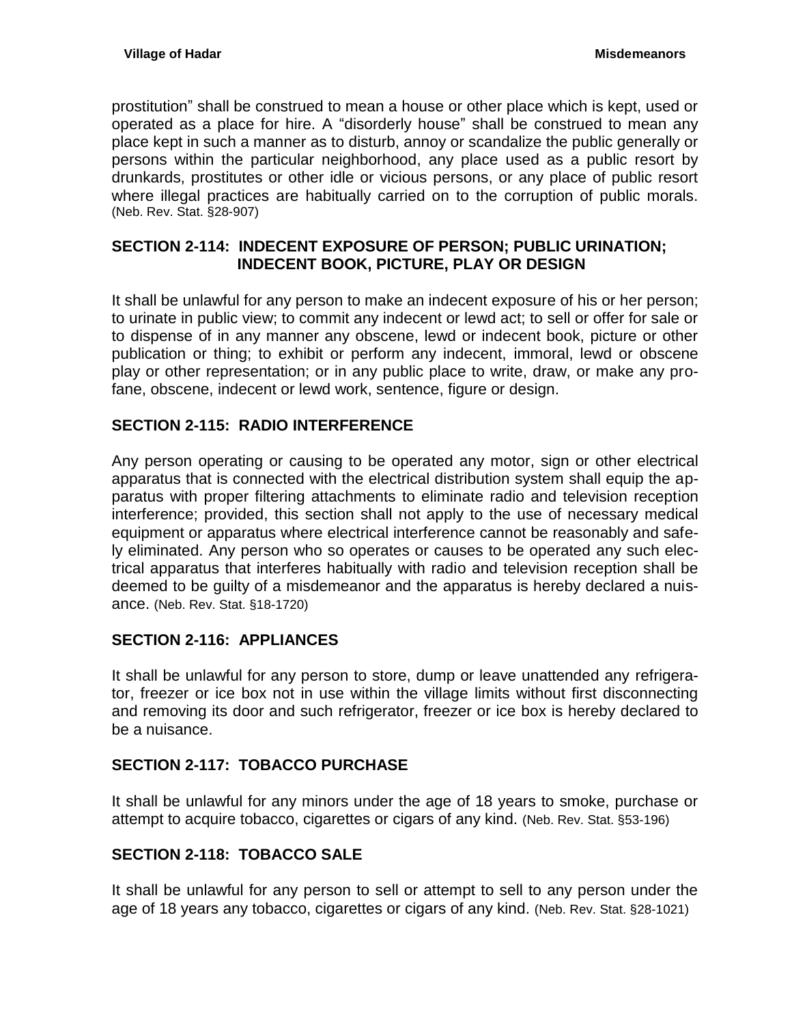prostitution" shall be construed to mean a house or other place which is kept, used or operated as a place for hire. A "disorderly house" shall be construed to mean any place kept in such a manner as to disturb, annoy or scandalize the public generally or persons within the particular neighborhood, any place used as a public resort by drunkards, prostitutes or other idle or vicious persons, or any place of public resort where illegal practices are habitually carried on to the corruption of public morals. (Neb. Rev. Stat. §28-907)

## <span id="page-4-0"></span>**SECTION 2-114: INDECENT EXPOSURE OF PERSON; PUBLIC URINATION; INDECENT BOOK, PICTURE, PLAY OR DESIGN**

It shall be unlawful for any person to make an indecent exposure of his or her person; to urinate in public view; to commit any indecent or lewd act; to sell or offer for sale or to dispense of in any manner any obscene, lewd or indecent book, picture or other publication or thing; to exhibit or perform any indecent, immoral, lewd or obscene play or other representation; or in any public place to write, draw, or make any profane, obscene, indecent or lewd work, sentence, figure or design.

# <span id="page-4-1"></span>**SECTION 2-115: RADIO INTERFERENCE**

Any person operating or causing to be operated any motor, sign or other electrical apparatus that is connected with the electrical distribution system shall equip the apparatus with proper filtering attachments to eliminate radio and television reception interference; provided, this section shall not apply to the use of necessary medical equipment or apparatus where electrical interference cannot be reasonably and safely eliminated. Any person who so operates or causes to be operated any such electrical apparatus that interferes habitually with radio and television reception shall be deemed to be guilty of a misdemeanor and the apparatus is hereby declared a nuisance. (Neb. Rev. Stat. §18-1720)

## <span id="page-4-2"></span>**SECTION 2-116: APPLIANCES**

It shall be unlawful for any person to store, dump or leave unattended any refrigerator, freezer or ice box not in use within the village limits without first disconnecting and removing its door and such refrigerator, freezer or ice box is hereby declared to be a nuisance.

## <span id="page-4-3"></span>**SECTION 2-117: TOBACCO PURCHASE**

It shall be unlawful for any minors under the age of 18 years to smoke, purchase or attempt to acquire tobacco, cigarettes or cigars of any kind. (Neb. Rev. Stat. §53-196)

# <span id="page-4-4"></span>**SECTION 2-118: TOBACCO SALE**

It shall be unlawful for any person to sell or attempt to sell to any person under the age of 18 years any tobacco, cigarettes or cigars of any kind. (Neb. Rev. Stat. §28-1021)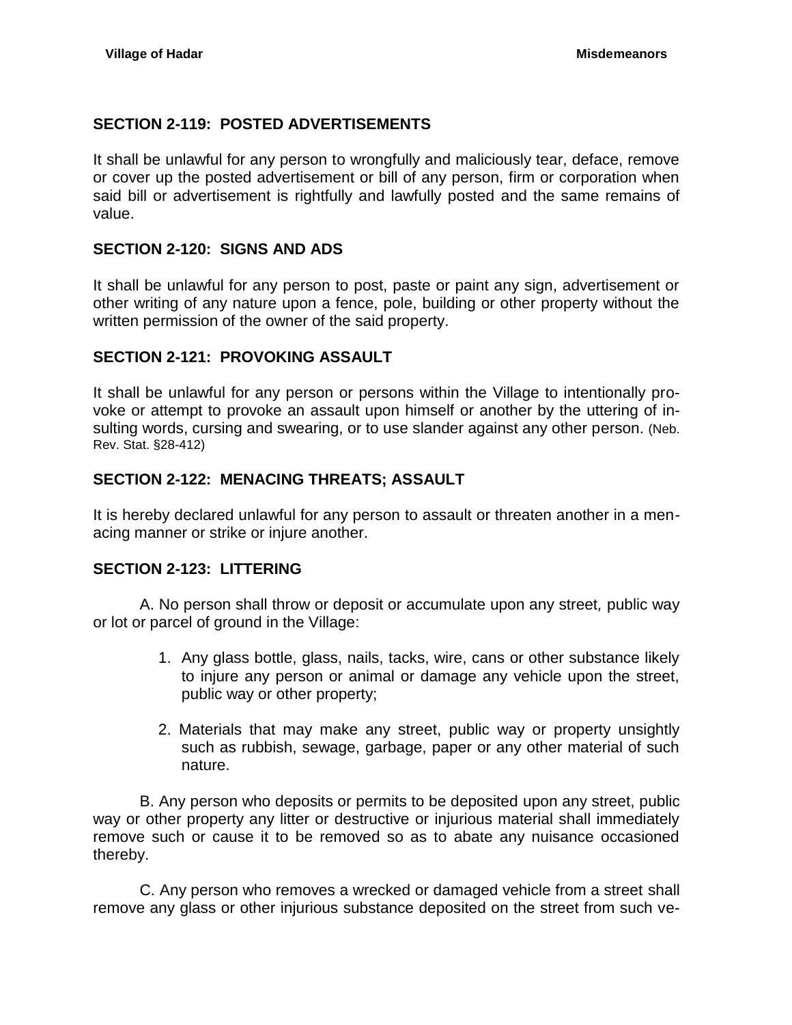## <span id="page-5-0"></span>**SECTION 2-119: POSTED ADVERTISEMENTS**

It shall be unlawful for any person to wrongfully and maliciously tear, deface, remove or cover up the posted advertisement or bill of any person, firm or corporation when said bill or advertisement is rightfully and lawfully posted and the same remains of value.

## <span id="page-5-1"></span>**SECTION 2-120: SIGNS AND ADS**

It shall be unlawful for any person to post, paste or paint any sign, advertisement or other writing of any nature upon a fence, pole, building or other property without the written permission of the owner of the said property.

## <span id="page-5-2"></span>**SECTION 2-121: PROVOKING ASSAULT**

It shall be unlawful for any person or persons within the Village to intentionally provoke or attempt to provoke an assault upon himself or another by the uttering of insulting words, cursing and swearing, or to use slander against any other person. (Neb. Rev. Stat. §28-412)

## <span id="page-5-3"></span>**SECTION 2-122: MENACING THREATS; ASSAULT**

It is hereby declared unlawful for any person to assault or threaten another in a menacing manner or strike or injure another.

#### <span id="page-5-4"></span>**SECTION 2-123: LITTERING**

A. No person shall throw or deposit or accumulate upon any street*,* public way or lot or parcel of ground in the Village:

- 1. Any glass bottle, glass, nails, tacks, wire, cans or other substance likely to injure any person or animal or damage any vehicle upon the street, public way or other property;
- 2. Materials that may make any street, public way or property unsightly such as rubbish, sewage, garbage, paper or any other material of such nature.

B. Any person who deposits or permits to be deposited upon any street, public way or other property any litter or destructive or injurious material shall immediately remove such or cause it to be removed so as to abate any nuisance occasioned thereby.

C. Any person who removes a wrecked or damaged vehicle from a street shall remove any glass or other injurious substance deposited on the street from such ve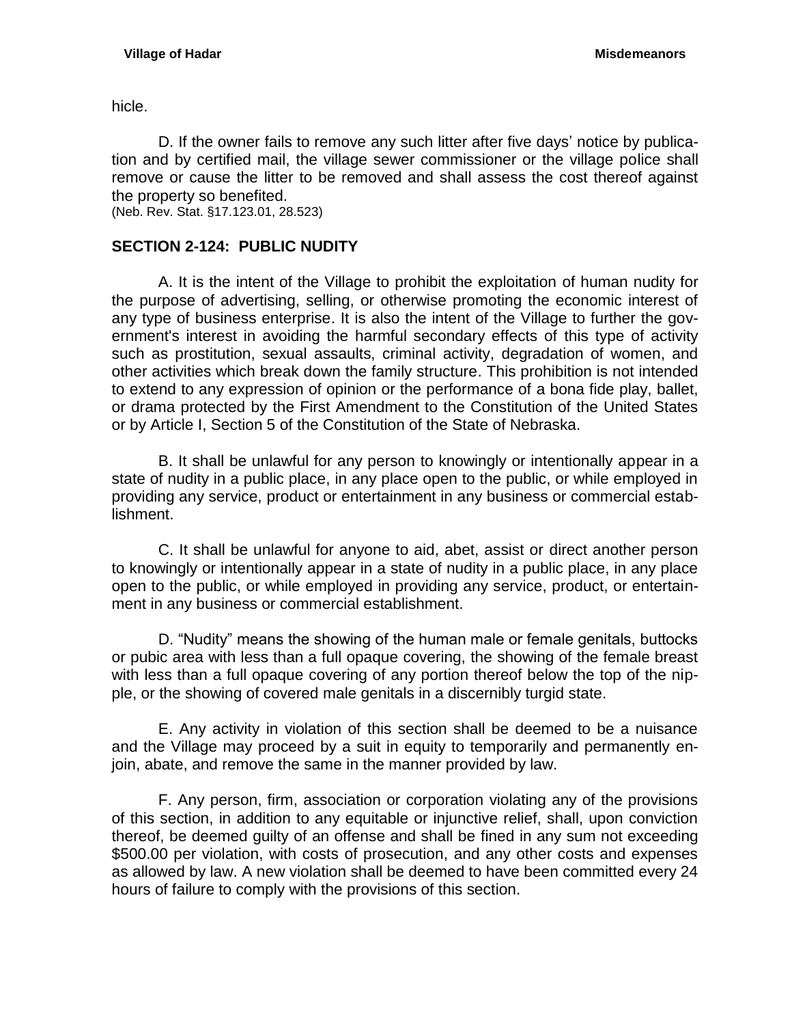hicle.

D. If the owner fails to remove any such litter after five days' notice by publication and by certified mail, the village sewer commissioner or the village police shall remove or cause the litter to be removed and shall assess the cost thereof against the property so benefited.

(Neb. Rev. Stat. §17.123.01, 28.523)

## <span id="page-6-0"></span>**SECTION 2-124: PUBLIC NUDITY**

A. It is the intent of the Village to prohibit the exploitation of human nudity for the purpose of advertising, selling, or otherwise promoting the economic interest of any type of business enterprise. It is also the intent of the Village to further the government's interest in avoiding the harmful secondary effects of this type of activity such as prostitution, sexual assaults, criminal activity, degradation of women, and other activities which break down the family structure. This prohibition is not intended to extend to any expression of opinion or the performance of a bona fide play, ballet, or drama protected by the First Amendment to the Constitution of the United States or by Article I, Section 5 of the Constitution of the State of Nebraska.

B. It shall be unlawful for any person to knowingly or intentionally appear in a state of nudity in a public place, in any place open to the public, or while employed in providing any service, product or entertainment in any business or commercial establishment.

C. It shall be unlawful for anyone to aid, abet, assist or direct another person to knowingly or intentionally appear in a state of nudity in a public place, in any place open to the public, or while employed in providing any service, product, or entertainment in any business or commercial establishment.

D. "Nudity" means the showing of the human male or female genitals, buttocks or pubic area with less than a full opaque covering, the showing of the female breast with less than a full opaque covering of any portion thereof below the top of the nipple, or the showing of covered male genitals in a discernibly turgid state.

E. Any activity in violation of this section shall be deemed to be a nuisance and the Village may proceed by a suit in equity to temporarily and permanently enjoin, abate, and remove the same in the manner provided by law.

F. Any person, firm, association or corporation violating any of the provisions of this section, in addition to any equitable or injunctive relief, shall, upon conviction thereof, be deemed guilty of an offense and shall be fined in any sum not exceeding \$500.00 per violation, with costs of prosecution, and any other costs and expenses as allowed by law. A new violation shall be deemed to have been committed every 24 hours of failure to comply with the provisions of this section.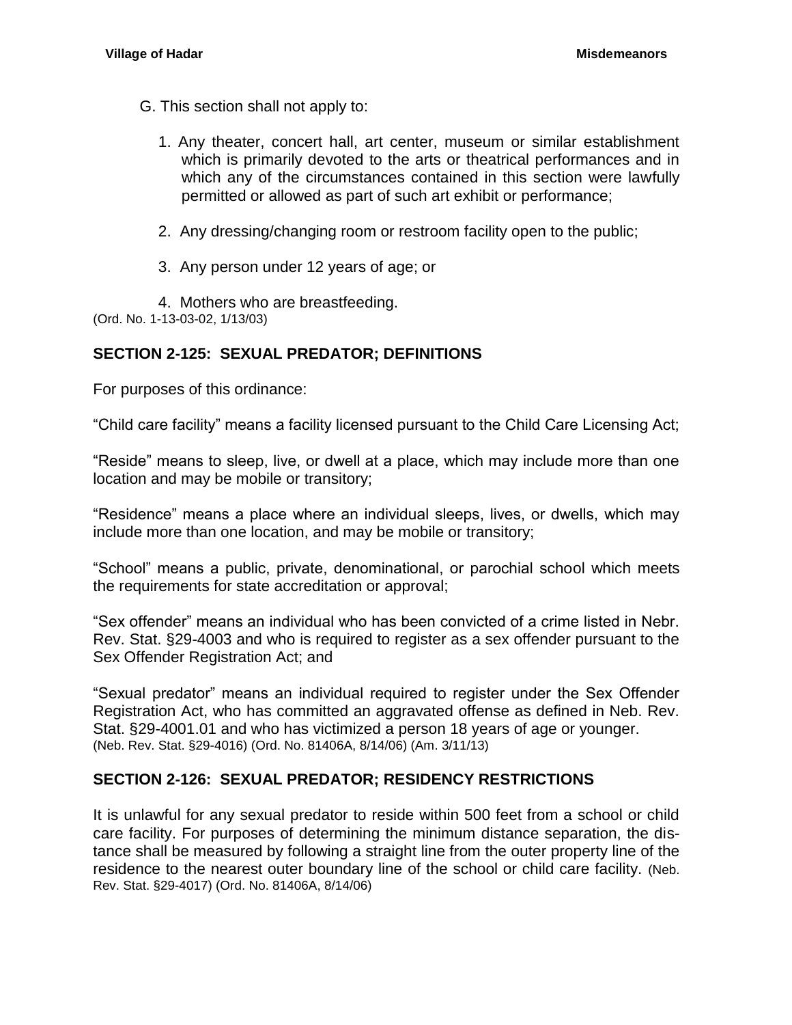- G. This section shall not apply to:
	- 1. Any theater, concert hall, art center, museum or similar establishment which is primarily devoted to the arts or theatrical performances and in which any of the circumstances contained in this section were lawfully permitted or allowed as part of such art exhibit or performance;
	- 2. Any dressing/changing room or restroom facility open to the public;
	- 3. Any person under 12 years of age; or

4. Mothers who are breastfeeding.

(Ord. No. 1-13-03-02, 1/13/03)

## <span id="page-7-0"></span>**SECTION 2-125: SEXUAL PREDATOR; DEFINITIONS**

For purposes of this ordinance:

"Child care facility" means a facility licensed pursuant to the Child Care Licensing Act;

"Reside" means to sleep, live, or dwell at a place, which may include more than one location and may be mobile or transitory;

"Residence" means a place where an individual sleeps, lives, or dwells, which may include more than one location, and may be mobile or transitory;

"School" means a public, private, denominational, or parochial school which meets the requirements for state accreditation or approval;

"Sex offender" means an individual who has been convicted of a crime listed in Nebr. Rev. Stat. §29-4003 and who is required to register as a sex offender pursuant to the Sex Offender Registration Act; and

"Sexual predator" means an individual required to register under the Sex Offender Registration Act, who has committed an aggravated offense as defined in Neb. Rev. Stat. [§29-4001.01](http://www.lawriter.net/NLLXML/getcode.asp?userid=PRODSG&interface=CM&statecd=NE&codesec=29-4001.01&sessionyr=2009SP1&Title=29&datatype=S&noheader=0&nojumpmsg=0) and who has victimized a person 18 years of age or younger. (Neb. Rev. Stat. §29-4016) (Ord. No. 81406A, 8/14/06) (Am. 3/11/13)

## <span id="page-7-1"></span>**SECTION 2-126: SEXUAL PREDATOR; RESIDENCY RESTRICTIONS**

It is unlawful for any sexual predator to reside within 500 feet from a school or child care facility. For purposes of determining the minimum distance separation, the distance shall be measured by following a straight line from the outer property line of the residence to the nearest outer boundary line of the school or child care facility. (Neb. Rev. Stat. §29-4017) (Ord. No. 81406A, 8/14/06)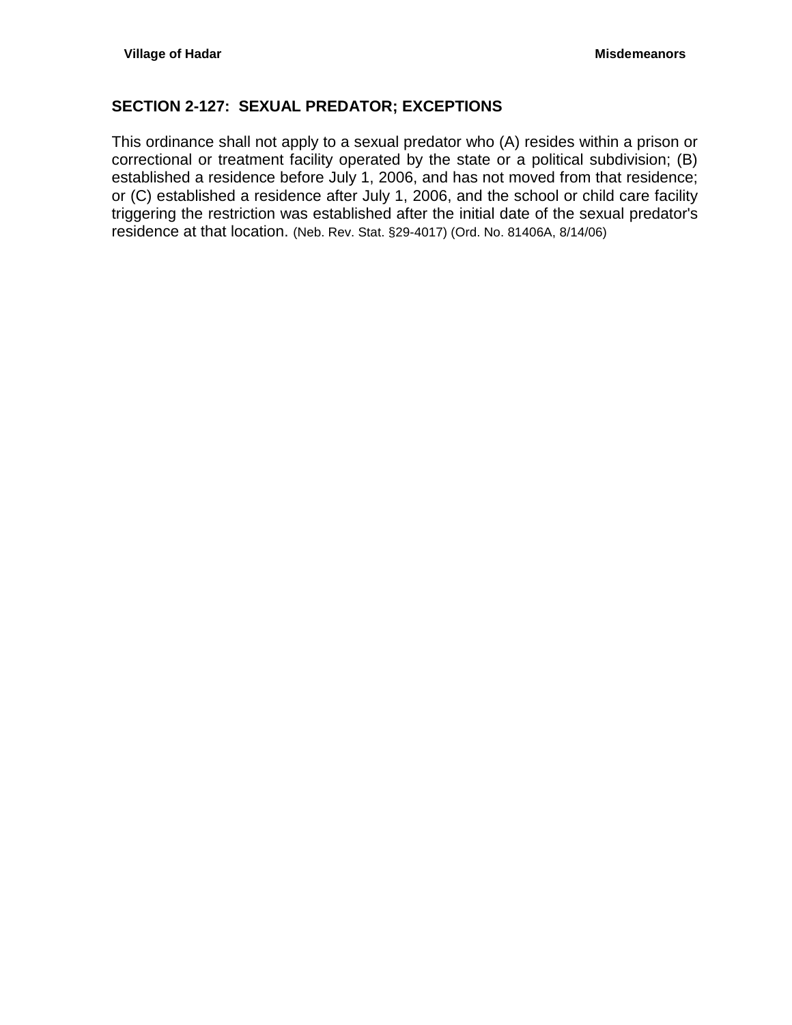## <span id="page-8-0"></span>**SECTION 2-127: SEXUAL PREDATOR; EXCEPTIONS**

This ordinance shall not apply to a sexual predator who (A) resides within a prison or correctional or treatment facility operated by the state or a political subdivision; (B) established a residence before July 1, 2006, and has not moved from that residence; or (C) established a residence after July 1, 2006, and the school or child care facility triggering the restriction was established after the initial date of the sexual predator's residence at that location. (Neb. Rev. Stat. §29-4017) (Ord. No. 81406A, 8/14/06)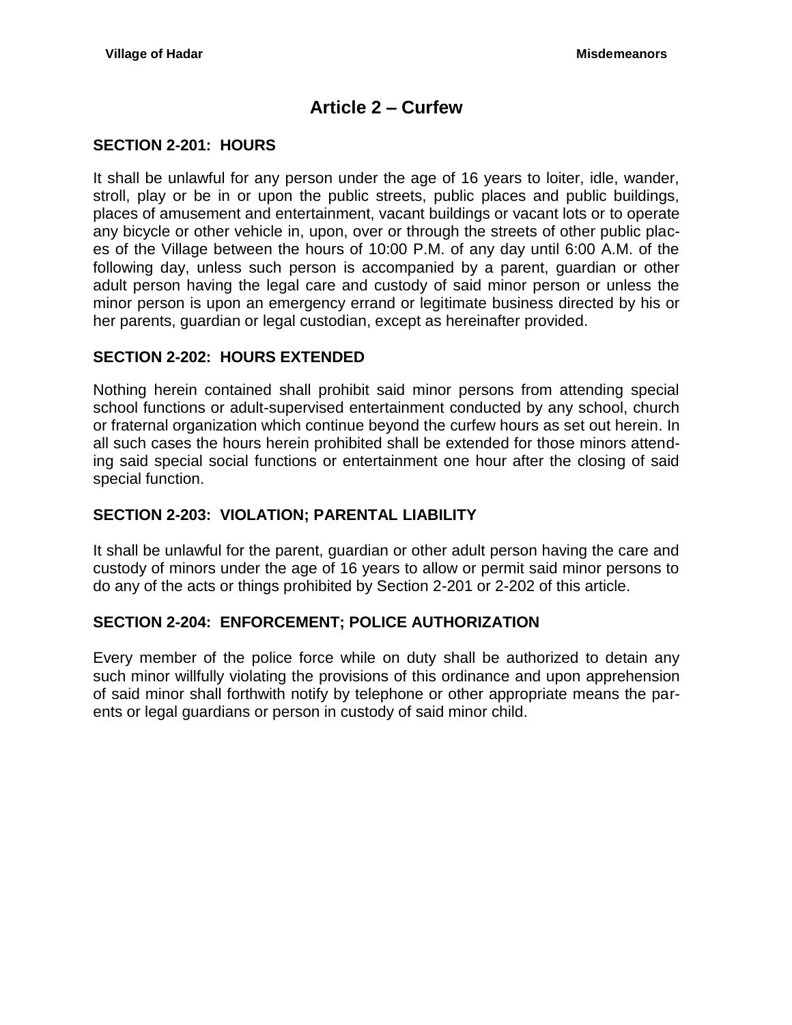# **Article 2 – Curfew**

### <span id="page-9-1"></span><span id="page-9-0"></span>**SECTION 2-201: HOURS**

It shall be unlawful for any person under the age of 16 years to loiter, idle, wander, stroll, play or be in or upon the public streets, public places and public buildings, places of amusement and entertainment, vacant buildings or vacant lots or to operate any bicycle or other vehicle in, upon, over or through the streets of other public places of the Village between the hours of 10:00 P.M. of any day until 6:00 A.M. of the following day, unless such person is accompanied by a parent, guardian or other adult person having the legal care and custody of said minor person or unless the minor person is upon an emergency errand or legitimate business directed by his or her parents, guardian or legal custodian, except as hereinafter provided.

#### <span id="page-9-2"></span>**SECTION 2-202: HOURS EXTENDED**

Nothing herein contained shall prohibit said minor persons from attending special school functions or adult-supervised entertainment conducted by any school, church or fraternal organization which continue beyond the curfew hours as set out herein. In all such cases the hours herein prohibited shall be extended for those minors attending said special social functions or entertainment one hour after the closing of said special function.

## <span id="page-9-3"></span>**SECTION 2-203: VIOLATION; PARENTAL LIABILITY**

It shall be unlawful for the parent, guardian or other adult person having the care and custody of minors under the age of 16 years to allow or permit said minor persons to do any of the acts or things prohibited by Section 2-201 or 2-202 of this article.

#### <span id="page-9-4"></span>**SECTION 2-204: ENFORCEMENT; POLICE AUTHORIZATION**

Every member of the police force while on duty shall be authorized to detain any such minor willfully violating the provisions of this ordinance and upon apprehension of said minor shall forthwith notify by telephone or other appropriate means the parents or legal guardians or person in custody of said minor child.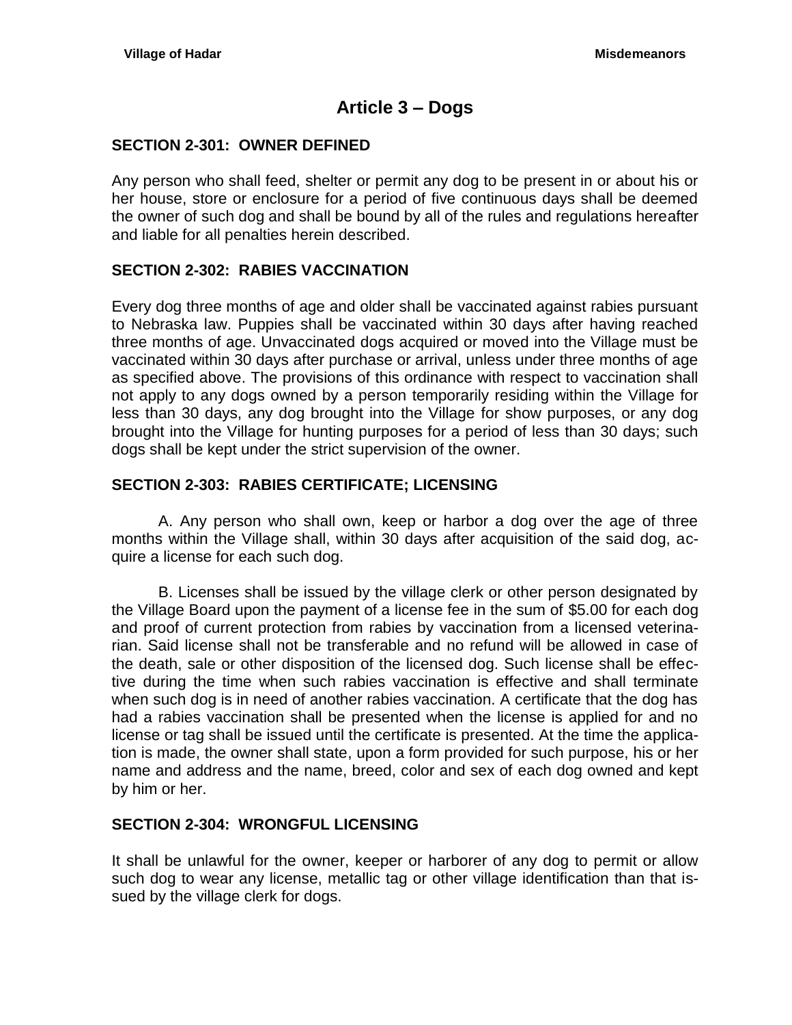# **Article 3 – Dogs**

### <span id="page-10-1"></span><span id="page-10-0"></span>**SECTION 2-301: OWNER DEFINED**

Any person who shall feed, shelter or permit any dog to be present in or about his or her house, store or enclosure for a period of five continuous days shall be deemed the owner of such dog and shall be bound by all of the rules and regulations hereafter and liable for all penalties herein described.

## <span id="page-10-2"></span>**SECTION 2-302: RABIES VACCINATION**

Every dog three months of age and older shall be vaccinated against rabies pursuant to Nebraska law. Puppies shall be vaccinated within 30 days after having reached three months of age. Unvaccinated dogs acquired or moved into the Village must be vaccinated within 30 days after purchase or arrival, unless under three months of age as specified above. The provisions of this ordinance with respect to vaccination shall not apply to any dogs owned by a person temporarily residing within the Village for less than 30 days, any dog brought into the Village for show purposes, or any dog brought into the Village for hunting purposes for a period of less than 30 days; such dogs shall be kept under the strict supervision of the owner.

## <span id="page-10-3"></span>**SECTION 2-303: RABIES CERTIFICATE; LICENSING**

A. Any person who shall own, keep or harbor a dog over the age of three months within the Village shall, within 30 days after acquisition of the said dog, acquire a license for each such dog.

B. Licenses shall be issued by the village clerk or other person designated by the Village Board upon the payment of a license fee in the sum of \$5.00 for each dog and proof of current protection from rabies by vaccination from a licensed veterinarian. Said license shall not be transferable and no refund will be allowed in case of the death, sale or other disposition of the licensed dog. Such license shall be effective during the time when such rabies vaccination is effective and shall terminate when such dog is in need of another rabies vaccination. A certificate that the dog has had a rabies vaccination shall be presented when the license is applied for and no license or tag shall be issued until the certificate is presented. At the time the application is made, the owner shall state, upon a form provided for such purpose, his or her name and address and the name, breed, color and sex of each dog owned and kept by him or her.

## <span id="page-10-4"></span>**SECTION 2-304: WRONGFUL LICENSING**

It shall be unlawful for the owner, keeper or harborer of any dog to permit or allow such dog to wear any license, metallic tag or other village identification than that issued by the village clerk for dogs.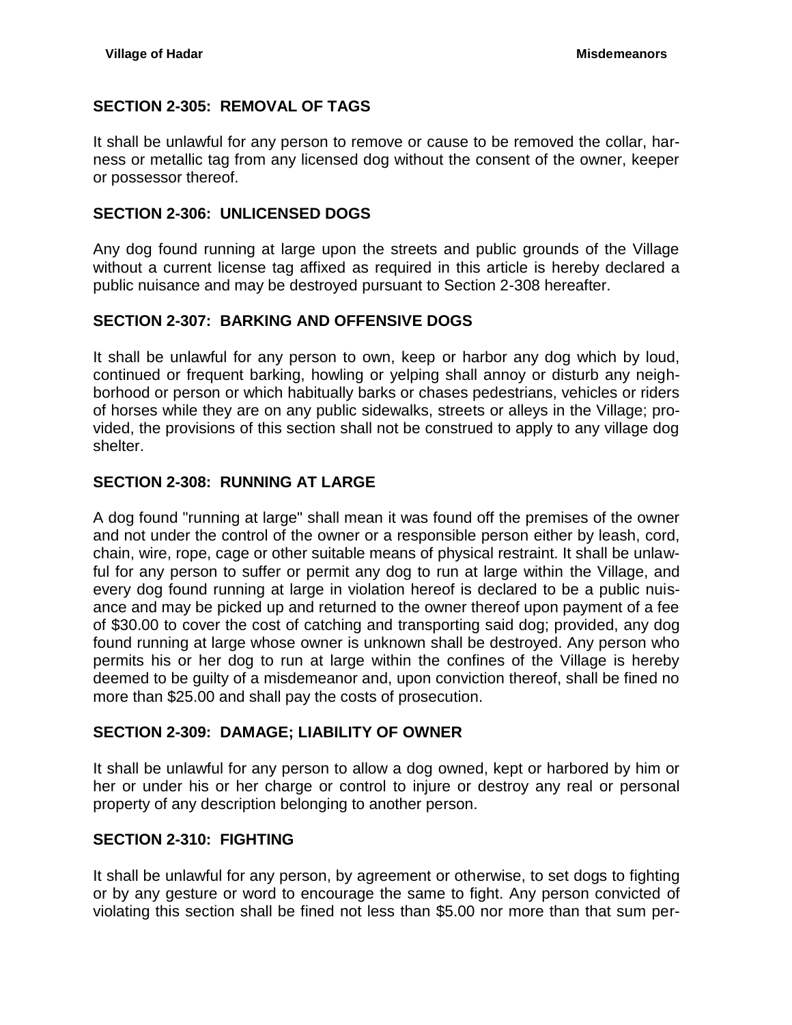## <span id="page-11-0"></span>**SECTION 2-305: REMOVAL OF TAGS**

It shall be unlawful for any person to remove or cause to be removed the collar, harness or metallic tag from any licensed dog without the consent of the owner, keeper or possessor thereof.

### <span id="page-11-1"></span>**SECTION 2-306: UNLICENSED DOGS**

Any dog found running at large upon the streets and public grounds of the Village without a current license tag affixed as required in this article is hereby declared a public nuisance and may be destroyed pursuant to Section 2-308 hereafter.

## <span id="page-11-2"></span>**SECTION 2-307: BARKING AND OFFENSIVE DOGS**

It shall be unlawful for any person to own, keep or harbor any dog which by loud, continued or frequent barking, howling or yelping shall annoy or disturb any neighborhood or person or which habitually barks or chases pedestrians, vehicles or riders of horses while they are on any public sidewalks, streets or alleys in the Village; provided, the provisions of this section shall not be construed to apply to any village dog shelter.

#### <span id="page-11-3"></span>**SECTION 2-308: RUNNING AT LARGE**

A dog found "running at large" shall mean it was found off the premises of the owner and not under the control of the owner or a responsible person either by leash, cord, chain, wire, rope, cage or other suitable means of physical restraint. It shall be unlawful for any person to suffer or permit any dog to run at large within the Village, and every dog found running at large in violation hereof is declared to be a public nuisance and may be picked up and returned to the owner thereof upon payment of a fee of \$30.00 to cover the cost of catching and transporting said dog; provided, any dog found running at large whose owner is unknown shall be destroyed. Any person who permits his or her dog to run at large within the confines of the Village is hereby deemed to be guilty of a misdemeanor and, upon conviction thereof, shall be fined no more than \$25.00 and shall pay the costs of prosecution.

## <span id="page-11-4"></span>**SECTION 2-309: DAMAGE; LIABILITY OF OWNER**

It shall be unlawful for any person to allow a dog owned, kept or harbored by him or her or under his or her charge or control to injure or destroy any real or personal property of any description belonging to another person.

## <span id="page-11-5"></span>**SECTION 2-310: FIGHTING**

It shall be unlawful for any person, by agreement or otherwise, to set dogs to fighting or by any gesture or word to encourage the same to fight. Any person convicted of violating this section shall be fined not less than \$5.00 nor more than that sum per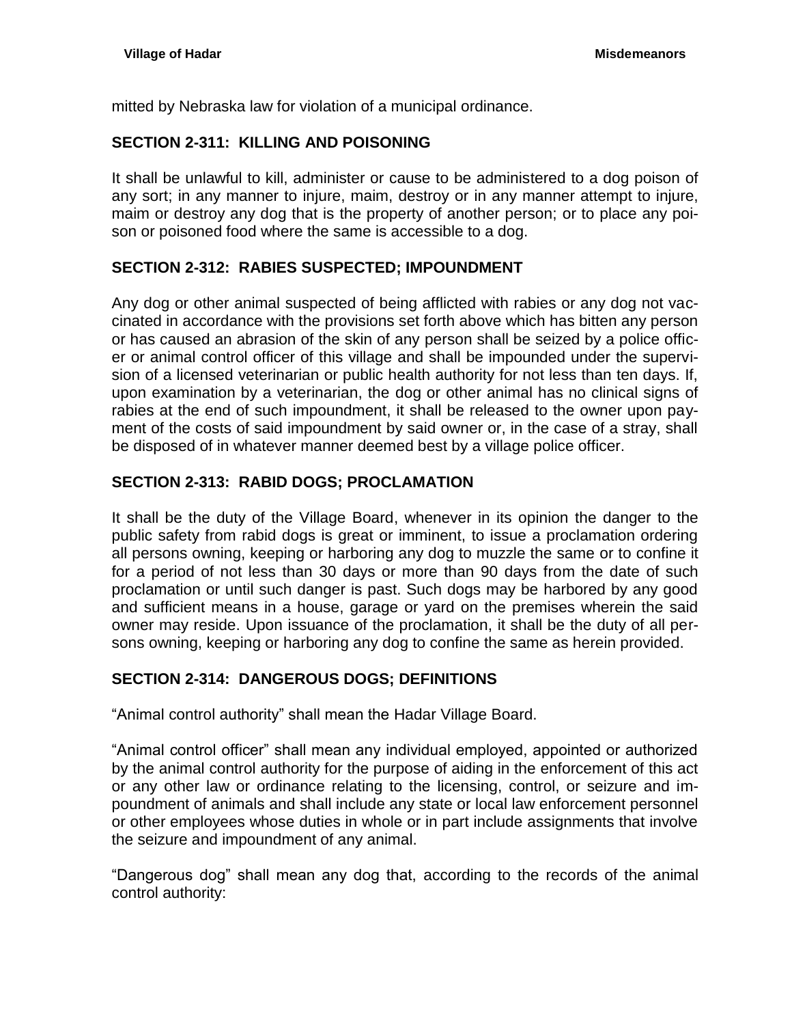mitted by Nebraska law for violation of a municipal ordinance.

## <span id="page-12-0"></span>**SECTION 2-311: KILLING AND POISONING**

It shall be unlawful to kill, administer or cause to be administered to a dog poison of any sort; in any manner to injure, maim, destroy or in any manner attempt to injure, maim or destroy any dog that is the property of another person; or to place any poison or poisoned food where the same is accessible to a dog.

# <span id="page-12-1"></span>**SECTION 2-312: RABIES SUSPECTED; IMPOUNDMENT**

Any dog or other animal suspected of being afflicted with rabies or any dog not vaccinated in accordance with the provisions set forth above which has bitten any person or has caused an abrasion of the skin of any person shall be seized by a police officer or animal control officer of this village and shall be impounded under the supervision of a licensed veterinarian or public health authority for not less than ten days. If, upon examination by a veterinarian, the dog or other animal has no clinical signs of rabies at the end of such impoundment, it shall be released to the owner upon payment of the costs of said impoundment by said owner or, in the case of a stray, shall be disposed of in whatever manner deemed best by a village police officer.

## <span id="page-12-2"></span>**SECTION 2-313: RABID DOGS; PROCLAMATION**

It shall be the duty of the Village Board, whenever in its opinion the danger to the public safety from rabid dogs is great or imminent, to issue a proclamation ordering all persons owning, keeping or harboring any dog to muzzle the same or to confine it for a period of not less than 30 days or more than 90 days from the date of such proclamation or until such danger is past. Such dogs may be harbored by any good and sufficient means in a house, garage or yard on the premises wherein the said owner may reside. Upon issuance of the proclamation, it shall be the duty of all persons owning, keeping or harboring any dog to confine the same as herein provided.

## <span id="page-12-3"></span>**SECTION 2-314: DANGEROUS DOGS; DEFINITIONS**

"Animal control authority" shall mean the Hadar Village Board.

"Animal control officer" shall mean any individual employed, appointed or authorized by the animal control authority for the purpose of aiding in the enforcement of this act or any other law or ordinance relating to the licensing, control, or seizure and impoundment of animals and shall include any state or local law enforcement personnel or other employees whose duties in whole or in part include assignments that involve the seizure and impoundment of any animal.

"Dangerous dog" shall mean any dog that, according to the records of the animal control authority: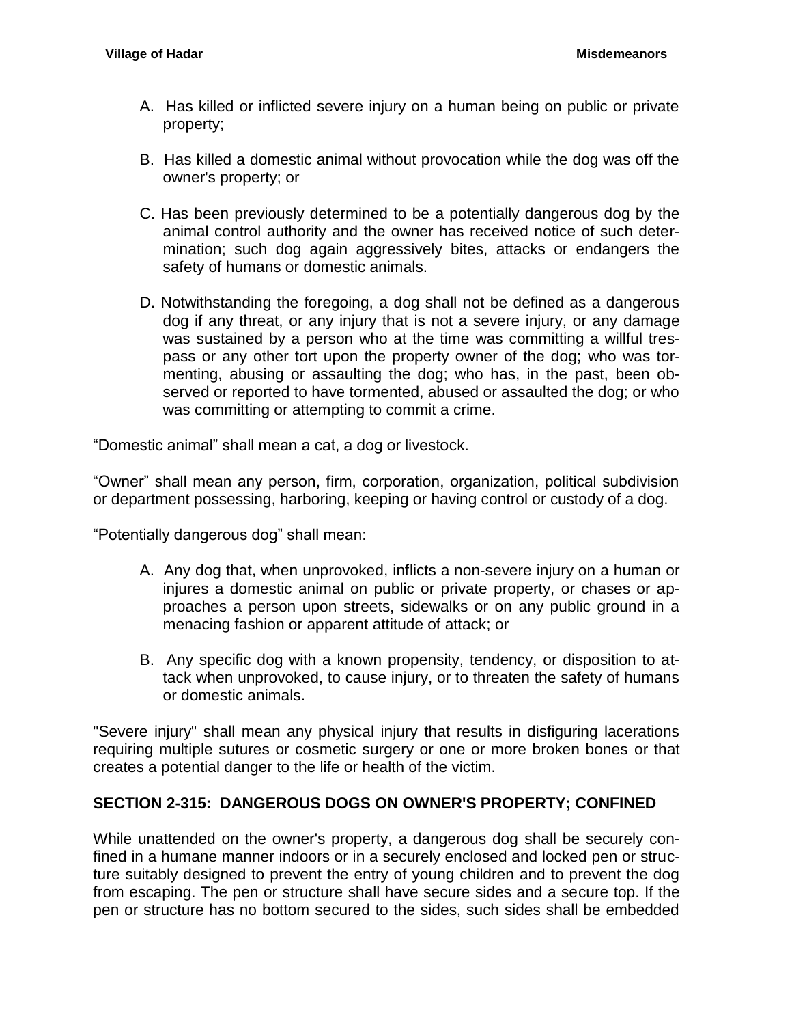- A. Has killed or inflicted severe injury on a human being on public or private property;
- B. Has killed a domestic animal without provocation while the dog was off the owner's property; or
- C. Has been previously determined to be a potentially dangerous dog by the animal control authority and the owner has received notice of such determination; such dog again aggressively bites, attacks or endangers the safety of humans or domestic animals.
- D. Notwithstanding the foregoing, a dog shall not be defined as a dangerous dog if any threat, or any injury that is not a severe injury, or any damage was sustained by a person who at the time was committing a willful trespass or any other tort upon the property owner of the dog; who was tormenting, abusing or assaulting the dog; who has, in the past, been observed or reported to have tormented, abused or assaulted the dog; or who was committing or attempting to commit a crime.

"Domestic animal" shall mean a cat, a dog or livestock.

"Owner" shall mean any person, firm, corporation, organization, political subdivision or department possessing, harboring, keeping or having control or custody of a dog.

"Potentially dangerous dog" shall mean:

- A. Any dog that, when unprovoked, inflicts a non-severe injury on a human or injures a domestic animal on public or private property, or chases or approaches a person upon streets, sidewalks or on any public ground in a menacing fashion or apparent attitude of attack; or
- B. Any specific dog with a known propensity, tendency, or disposition to attack when unprovoked, to cause injury, or to threaten the safety of humans or domestic animals.

"Severe injury" shall mean any physical injury that results in disfiguring lacerations requiring multiple sutures or cosmetic surgery or one or more broken bones or that creates a potential danger to the life or health of the victim.

## <span id="page-13-0"></span>**SECTION 2-315: DANGEROUS DOGS ON OWNER'S PROPERTY; CONFINED**

While unattended on the owner's property, a dangerous dog shall be securely confined in a humane manner indoors or in a securely enclosed and locked pen or structure suitably designed to prevent the entry of young children and to prevent the dog from escaping. The pen or structure shall have secure sides and a secure top. If the pen or structure has no bottom secured to the sides, such sides shall be embedded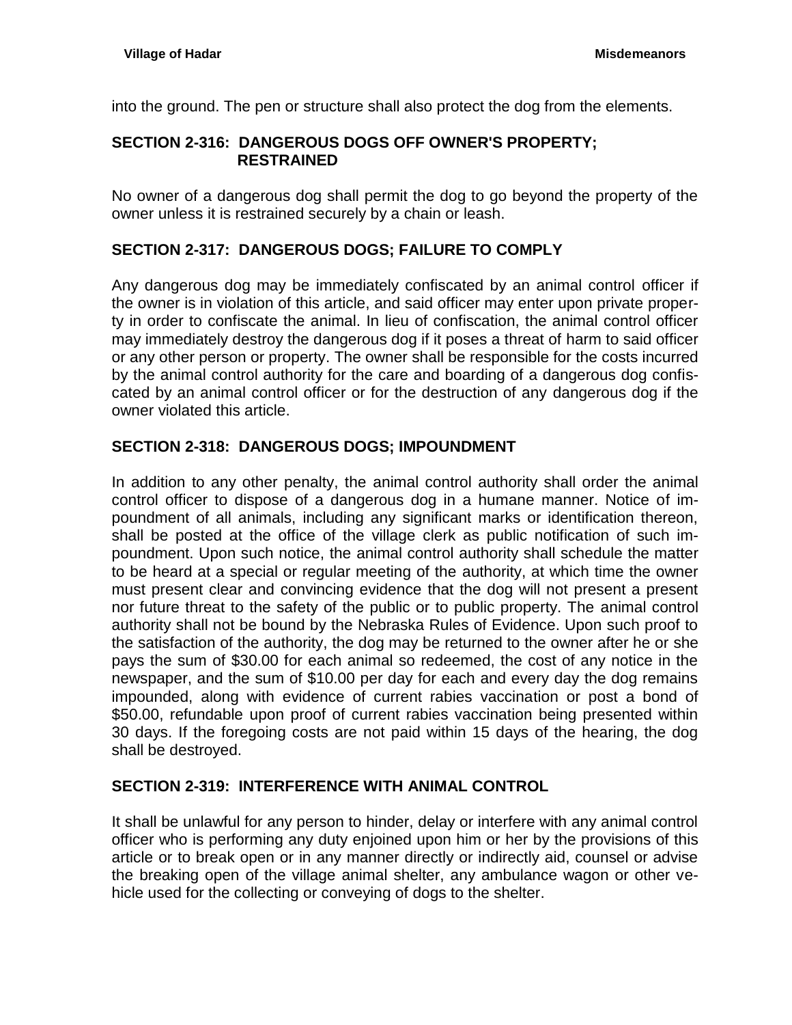into the ground. The pen or structure shall also protect the dog from the elements.

## <span id="page-14-0"></span>**SECTION 2-316: DANGEROUS DOGS OFF OWNER'S PROPERTY; RESTRAINED**

No owner of a dangerous dog shall permit the dog to go beyond the property of the owner unless it is restrained securely by a chain or leash.

## <span id="page-14-1"></span>**SECTION 2-317: DANGEROUS DOGS; FAILURE TO COMPLY**

Any dangerous dog may be immediately confiscated by an animal control officer if the owner is in violation of this article, and said officer may enter upon private property in order to confiscate the animal. In lieu of confiscation, the animal control officer may immediately destroy the dangerous dog if it poses a threat of harm to said officer or any other person or property. The owner shall be responsible for the costs incurred by the animal control authority for the care and boarding of a dangerous dog confiscated by an animal control officer or for the destruction of any dangerous dog if the owner violated this article.

## <span id="page-14-2"></span>**SECTION 2-318: DANGEROUS DOGS; IMPOUNDMENT**

In addition to any other penalty, the animal control authority shall order the animal control officer to dispose of a dangerous dog in a humane manner. Notice of impoundment of all animals, including any significant marks or identification thereon, shall be posted at the office of the village clerk as public notification of such impoundment. Upon such notice, the animal control authority shall schedule the matter to be heard at a special or regular meeting of the authority, at which time the owner must present clear and convincing evidence that the dog will not present a present nor future threat to the safety of the public or to public property. The animal control authority shall not be bound by the Nebraska Rules of Evidence. Upon such proof to the satisfaction of the authority, the dog may be returned to the owner after he or she pays the sum of \$30.00 for each animal so redeemed, the cost of any notice in the newspaper, and the sum of \$10.00 per day for each and every day the dog remains impounded, along with evidence of current rabies vaccination or post a bond of \$50.00, refundable upon proof of current rabies vaccination being presented within 30 days. If the foregoing costs are not paid within 15 days of the hearing, the dog shall be destroyed.

## <span id="page-14-3"></span>**SECTION 2-319: INTERFERENCE WITH ANIMAL CONTROL**

It shall be unlawful for any person to hinder, delay or interfere with any animal control officer who is performing any duty enjoined upon him or her by the provisions of this article or to break open or in any manner directly or indirectly aid, counsel or advise the breaking open of the village animal shelter, any ambulance wagon or other vehicle used for the collecting or conveying of dogs to the shelter.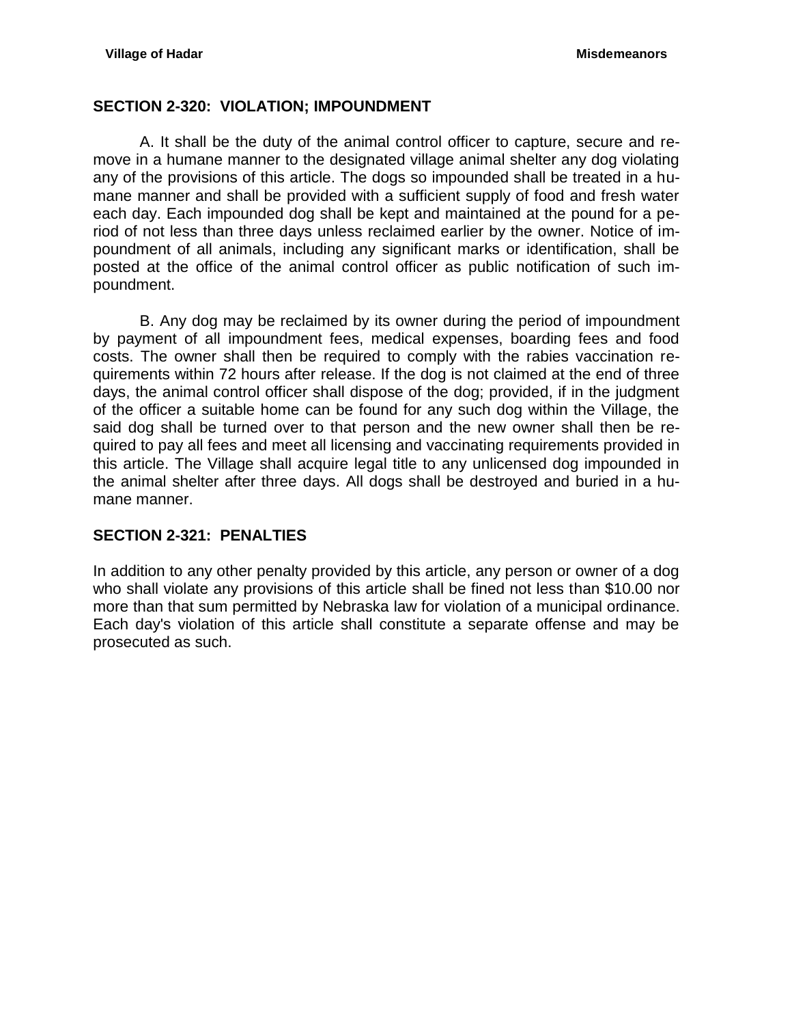### <span id="page-15-0"></span>**SECTION 2-320: VIOLATION; IMPOUNDMENT**

A. It shall be the duty of the animal control officer to capture, secure and remove in a humane manner to the designated village animal shelter any dog violating any of the provisions of this article. The dogs so impounded shall be treated in a humane manner and shall be provided with a sufficient supply of food and fresh water each day. Each impounded dog shall be kept and maintained at the pound for a period of not less than three days unless reclaimed earlier by the owner. Notice of impoundment of all animals, including any significant marks or identification, shall be posted at the office of the animal control officer as public notification of such impoundment.

B. Any dog may be reclaimed by its owner during the period of impoundment by payment of all impoundment fees, medical expenses, boarding fees and food costs. The owner shall then be required to comply with the rabies vaccination requirements within 72 hours after release. If the dog is not claimed at the end of three days, the animal control officer shall dispose of the dog; provided, if in the judgment of the officer a suitable home can be found for any such dog within the Village, the said dog shall be turned over to that person and the new owner shall then be required to pay all fees and meet all licensing and vaccinating requirements provided in this article. The Village shall acquire legal title to any unlicensed dog impounded in the animal shelter after three days. All dogs shall be destroyed and buried in a humane manner.

## <span id="page-15-1"></span>**SECTION 2-321: PENALTIES**

In addition to any other penalty provided by this article, any person or owner of a dog who shall violate any provisions of this article shall be fined not less than \$10.00 nor more than that sum permitted by Nebraska law for violation of a municipal ordinance. Each day's violation of this article shall constitute a separate offense and may be prosecuted as such.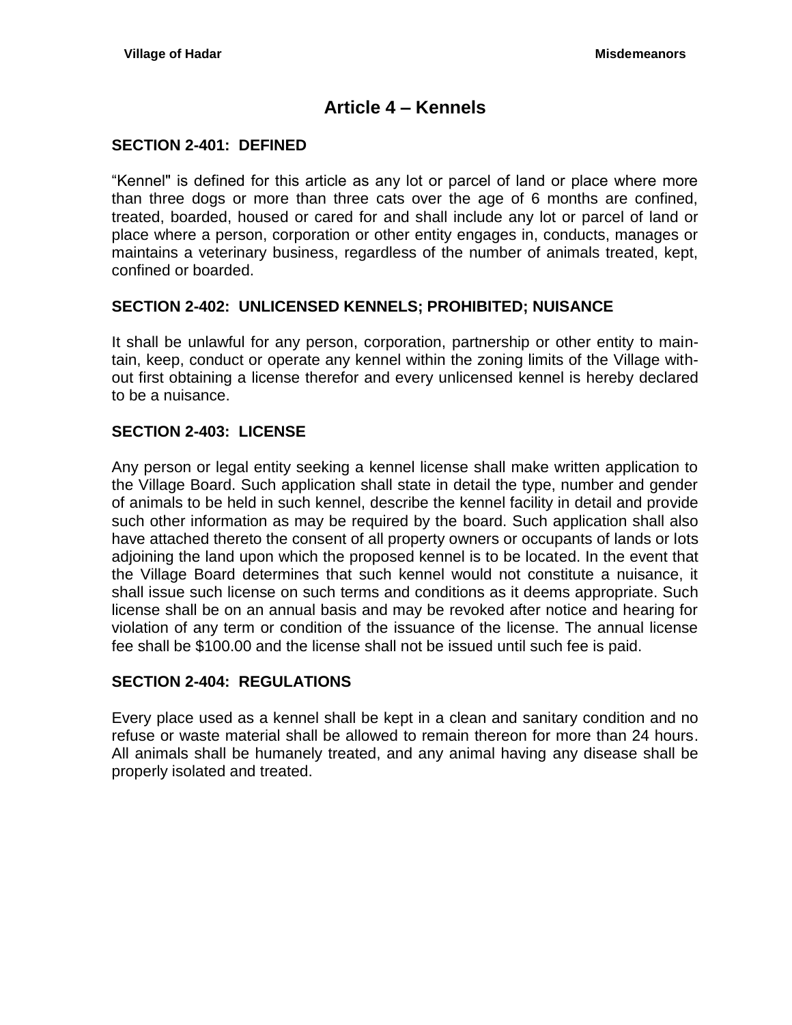# **Article 4 – Kennels**

### <span id="page-16-1"></span><span id="page-16-0"></span>**SECTION 2-401: DEFINED**

"Kennel" is defined for this article as any lot or parcel of land or place where more than three dogs or more than three cats over the age of 6 months are confined, treated, boarded, housed or cared for and shall include any lot or parcel of land or place where a person, corporation or other entity engages in, conducts, manages or maintains a veterinary business, regardless of the number of animals treated, kept, confined or boarded.

#### <span id="page-16-2"></span>**SECTION 2-402: UNLICENSED KENNELS; PROHIBITED; NUISANCE**

It shall be unlawful for any person, corporation, partnership or other entity to maintain, keep, conduct or operate any kennel within the zoning limits of the Village without first obtaining a license therefor and every unlicensed kennel is hereby declared to be a nuisance.

#### <span id="page-16-3"></span>**SECTION 2-403: LICENSE**

Any person or legal entity seeking a kennel license shall make written application to the Village Board. Such application shall state in detail the type, number and gender of animals to be held in such kennel, describe the kennel facility in detail and provide such other information as may be required by the board. Such application shall also have attached thereto the consent of all property owners or occupants of lands or lots adjoining the land upon which the proposed kennel is to be located. In the event that the Village Board determines that such kennel would not constitute a nuisance, it shall issue such license on such terms and conditions as it deems appropriate. Such license shall be on an annual basis and may be revoked after notice and hearing for violation of any term or condition of the issuance of the license. The annual license fee shall be \$100.00 and the license shall not be issued until such fee is paid.

## <span id="page-16-4"></span>**SECTION 2-404: REGULATIONS**

Every place used as a kennel shall be kept in a clean and sanitary condition and no refuse or waste material shall be allowed to remain thereon for more than 24 hours. All animals shall be humanely treated, and any animal having any disease shall be properly isolated and treated.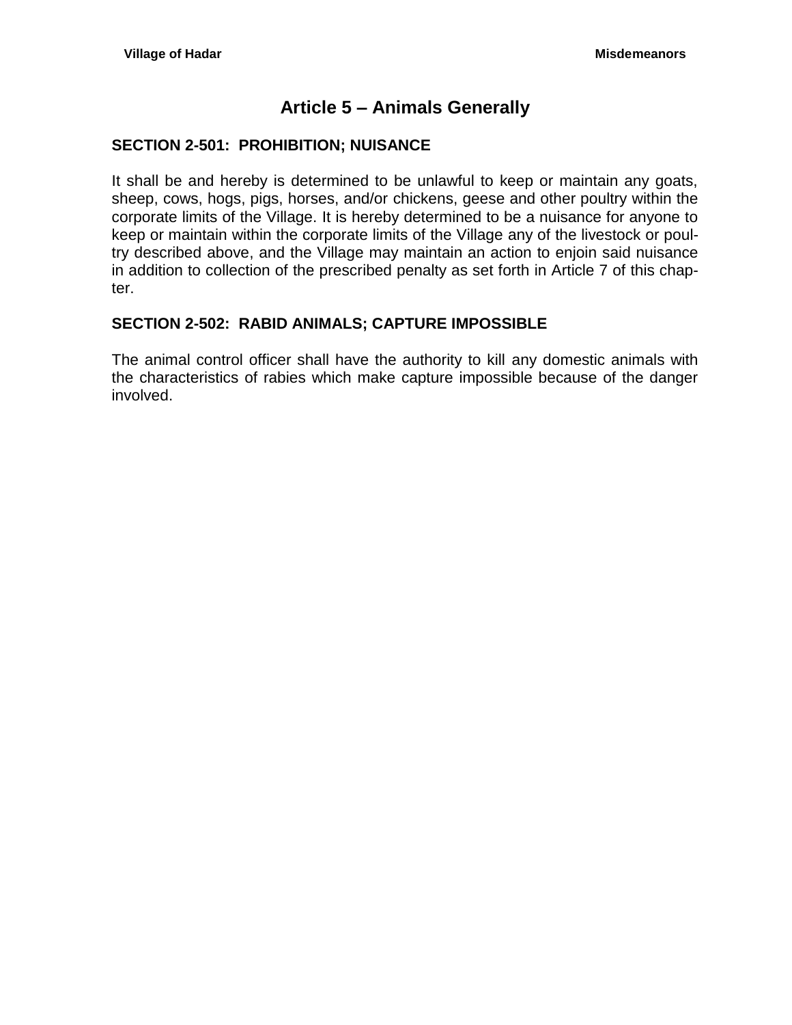# **Article 5 – Animals Generally**

#### <span id="page-18-1"></span><span id="page-18-0"></span>**SECTION 2-501: PROHIBITION; NUISANCE**

It shall be and hereby is determined to be unlawful to keep or maintain any goats, sheep, cows, hogs, pigs, horses, and/or chickens, geese and other poultry within the corporate limits of the Village. It is hereby determined to be a nuisance for anyone to keep or maintain within the corporate limits of the Village any of the livestock or poultry described above, and the Village may maintain an action to enjoin said nuisance in addition to collection of the prescribed penalty as set forth in Article 7 of this chapter.

## <span id="page-18-2"></span>**SECTION 2-502: RABID ANIMALS; CAPTURE IMPOSSIBLE**

The animal control officer shall have the authority to kill any domestic animals with the characteristics of rabies which make capture impossible because of the danger involved.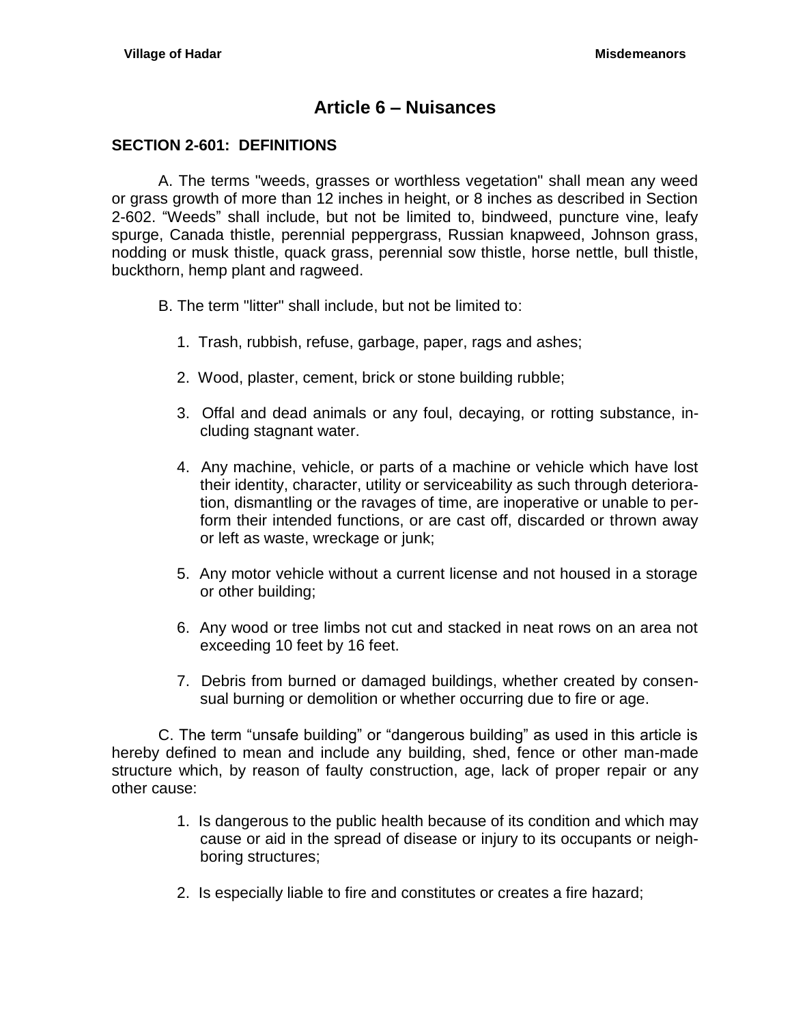# **Article 6 – Nuisances**

#### <span id="page-20-1"></span><span id="page-20-0"></span>**SECTION 2-601: DEFINITIONS**

A. The terms "weeds, grasses or worthless vegetation" shall mean any weed or grass growth of more than 12 inches in height, or 8 inches as described in Section 2-602. "Weeds" shall include, but not be limited to, bindweed, puncture vine, leafy spurge, Canada thistle, perennial peppergrass, Russian knapweed, Johnson grass, nodding or musk thistle, quack grass, perennial sow thistle, horse nettle, bull thistle, buckthorn, hemp plant and ragweed.

- B. The term "litter" shall include, but not be limited to:
	- 1. Trash, rubbish, refuse, garbage, paper, rags and ashes;
	- 2. Wood, plaster, cement, brick or stone building rubble;
	- 3. Offal and dead animals or any foul, decaying, or rotting substance, including stagnant water.
	- 4. Any machine, vehicle, or parts of a machine or vehicle which have lost their identity, character, utility or serviceability as such through deterioration, dismantling or the ravages of time, are inoperative or unable to perform their intended functions, or are cast off, discarded or thrown away or left as waste, wreckage or junk;
	- 5. Any motor vehicle without a current license and not housed in a storage or other building;
	- 6. Any wood or tree limbs not cut and stacked in neat rows on an area not exceeding 10 feet by 16 feet.
	- 7. Debris from burned or damaged buildings, whether created by consensual burning or demolition or whether occurring due to fire or age.

C. The term "unsafe building" or "dangerous building" as used in this article is hereby defined to mean and include any building, shed, fence or other man-made structure which, by reason of faulty construction, age, lack of proper repair or any other cause:

- 1. Is dangerous to the public health because of its condition and which may cause or aid in the spread of disease or injury to its occupants or neighboring structures;
- 2. Is especially liable to fire and constitutes or creates a fire hazard;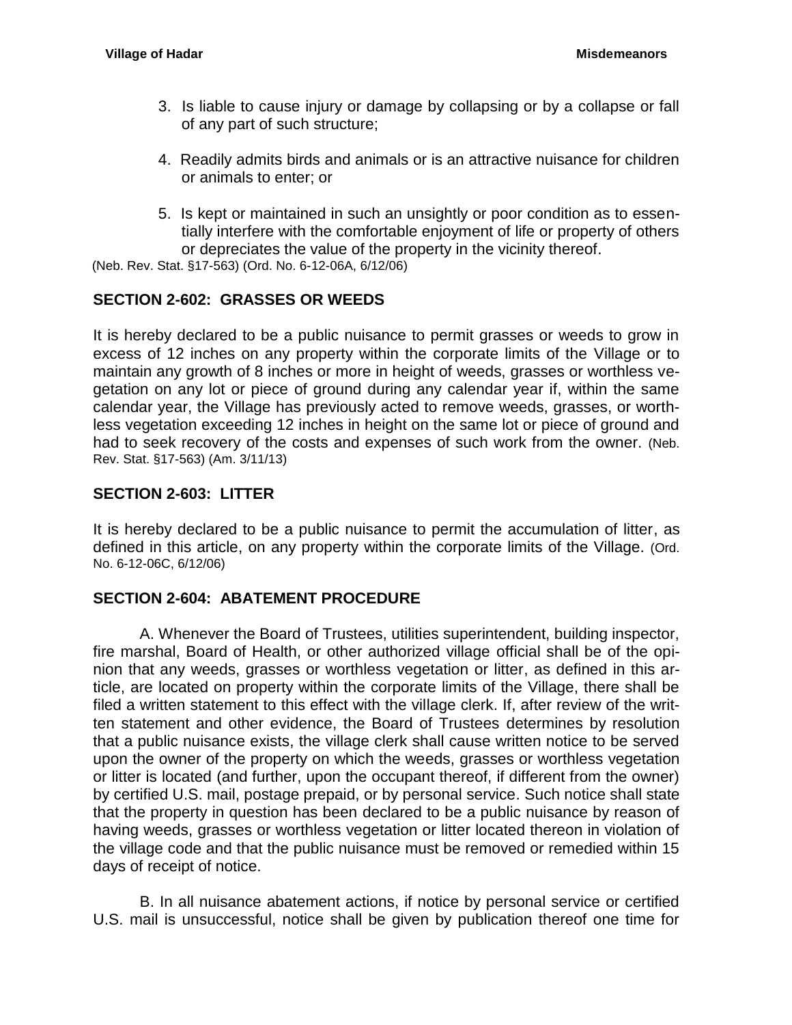- 3. Is liable to cause injury or damage by collapsing or by a collapse or fall of any part of such structure;
- 4. Readily admits birds and animals or is an attractive nuisance for children or animals to enter; or
- 5. Is kept or maintained in such an unsightly or poor condition as to essentially interfere with the comfortable enjoyment of life or property of others or depreciates the value of the property in the vicinity thereof.

(Neb. Rev. Stat. §17-563) (Ord. No. 6-12-06A, 6/12/06)

## <span id="page-21-0"></span>**SECTION 2-602: GRASSES OR WEEDS**

It is hereby declared to be a public nuisance to permit grasses or weeds to grow in excess of 12 inches on any property within the corporate limits of the Village or to maintain any growth of 8 inches or more in height of weeds, grasses or worthless vegetation on any lot or piece of ground during any calendar year if, within the same calendar year, the Village has previously acted to remove weeds, grasses, or worthless vegetation exceeding 12 inches in height on the same lot or piece of ground and had to seek recovery of the costs and expenses of such work from the owner. (Neb. Rev. Stat. §17-563) (Am. 3/11/13)

## <span id="page-21-1"></span>**SECTION 2-603: LITTER**

It is hereby declared to be a public nuisance to permit the accumulation of litter, as defined in this article, on any property within the corporate limits of the Village. (Ord. No. 6-12-06C, 6/12/06)

## <span id="page-21-2"></span>**SECTION 2-604: ABATEMENT PROCEDURE**

A. Whenever the Board of Trustees, utilities superintendent, building inspector, fire marshal, Board of Health, or other authorized village official shall be of the opinion that any weeds, grasses or worthless vegetation or litter, as defined in this article, are located on property within the corporate limits of the Village, there shall be filed a written statement to this effect with the village clerk. If, after review of the written statement and other evidence, the Board of Trustees determines by resolution that a public nuisance exists, the village clerk shall cause written notice to be served upon the owner of the property on which the weeds, grasses or worthless vegetation or litter is located (and further, upon the occupant thereof, if different from the owner) by certified U.S. mail, postage prepaid, or by personal service. Such notice shall state that the property in question has been declared to be a public nuisance by reason of having weeds, grasses or worthless vegetation or litter located thereon in violation of the village code and that the public nuisance must be removed or remedied within 15 days of receipt of notice.

B. In all nuisance abatement actions, if notice by personal service or certified U.S. mail is unsuccessful, notice shall be given by publication thereof one time for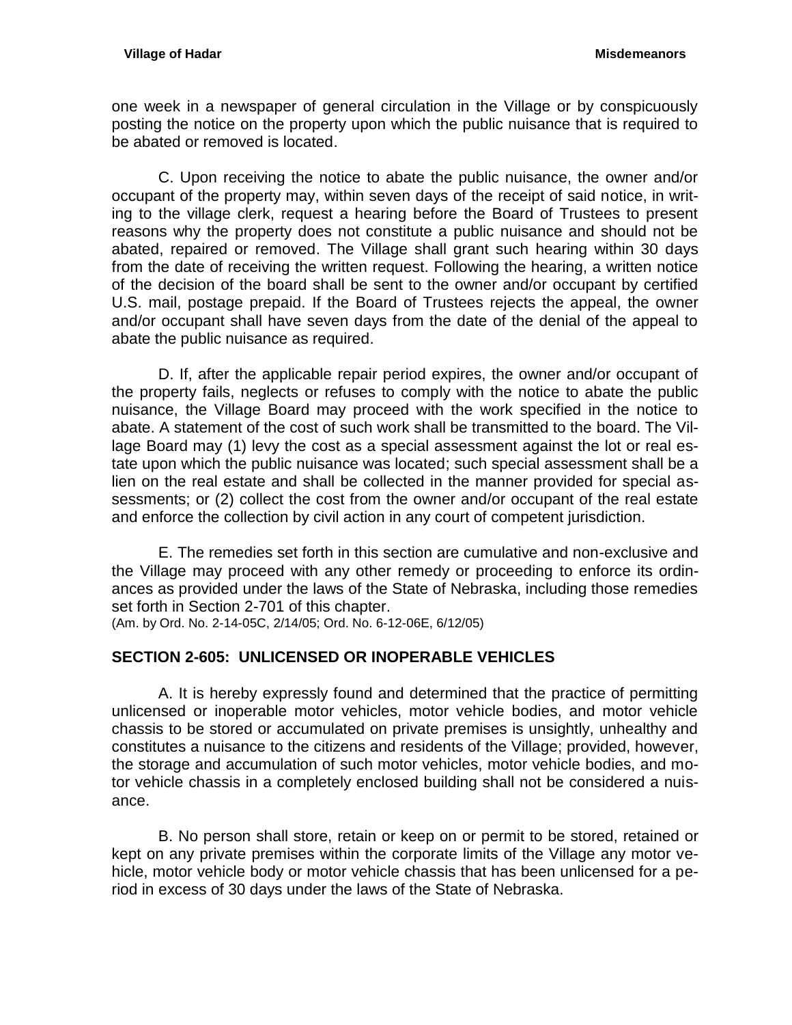one week in a newspaper of general circulation in the Village or by conspicuously posting the notice on the property upon which the public nuisance that is required to be abated or removed is located.

C. Upon receiving the notice to abate the public nuisance, the owner and/or occupant of the property may, within seven days of the receipt of said notice, in writing to the village clerk, request a hearing before the Board of Trustees to present reasons why the property does not constitute a public nuisance and should not be abated, repaired or removed. The Village shall grant such hearing within 30 days from the date of receiving the written request. Following the hearing, a written notice of the decision of the board shall be sent to the owner and/or occupant by certified U.S. mail, postage prepaid. If the Board of Trustees rejects the appeal, the owner and/or occupant shall have seven days from the date of the denial of the appeal to abate the public nuisance as required.

D. If, after the applicable repair period expires, the owner and/or occupant of the property fails, neglects or refuses to comply with the notice to abate the public nuisance, the Village Board may proceed with the work specified in the notice to abate. A statement of the cost of such work shall be transmitted to the board. The Village Board may (1) levy the cost as a special assessment against the lot or real estate upon which the public nuisance was located; such special assessment shall be a lien on the real estate and shall be collected in the manner provided for special assessments; or (2) collect the cost from the owner and/or occupant of the real estate and enforce the collection by civil action in any court of competent jurisdiction.

E. The remedies set forth in this section are cumulative and non-exclusive and the Village may proceed with any other remedy or proceeding to enforce its ordinances as provided under the laws of the State of Nebraska, including those remedies set forth in Section 2-701 of this chapter.

(Am. by Ord. No. 2-14-05C, 2/14/05; Ord. No. 6-12-06E, 6/12/05)

# <span id="page-22-0"></span>**SECTION 2-605: UNLICENSED OR INOPERABLE VEHICLES**

A. It is hereby expressly found and determined that the practice of permitting unlicensed or inoperable motor vehicles, motor vehicle bodies, and motor vehicle chassis to be stored or accumulated on private premises is unsightly, unhealthy and constitutes a nuisance to the citizens and residents of the Village; provided, however, the storage and accumulation of such motor vehicles, motor vehicle bodies, and motor vehicle chassis in a completely enclosed building shall not be considered a nuisance.

B. No person shall store, retain or keep on or permit to be stored, retained or kept on any private premises within the corporate limits of the Village any motor vehicle, motor vehicle body or motor vehicle chassis that has been unlicensed for a period in excess of 30 days under the laws of the State of Nebraska.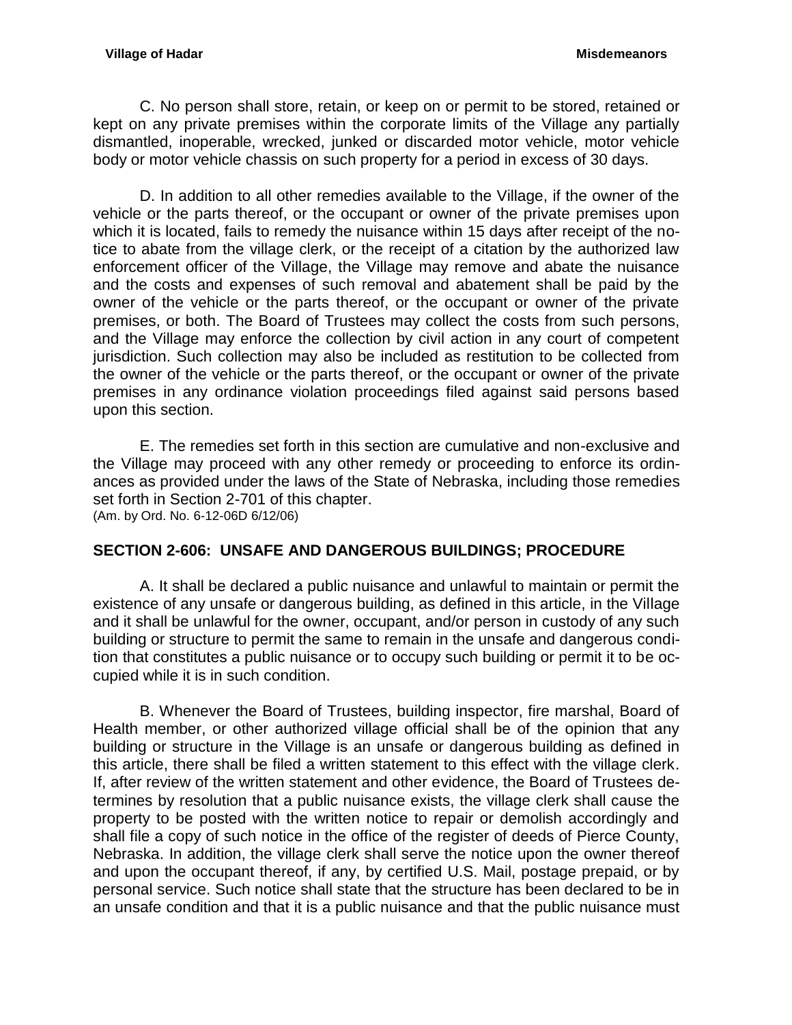C. No person shall store, retain, or keep on or permit to be stored, retained or kept on any private premises within the corporate limits of the Village any partially dismantled, inoperable, wrecked, junked or discarded motor vehicle, motor vehicle body or motor vehicle chassis on such property for a period in excess of 30 days.

D. In addition to all other remedies available to the Village, if the owner of the vehicle or the parts thereof, or the occupant or owner of the private premises upon which it is located, fails to remedy the nuisance within 15 days after receipt of the notice to abate from the village clerk, or the receipt of a citation by the authorized law enforcement officer of the Village, the Village may remove and abate the nuisance and the costs and expenses of such removal and abatement shall be paid by the owner of the vehicle or the parts thereof, or the occupant or owner of the private premises, or both. The Board of Trustees may collect the costs from such persons, and the Village may enforce the collection by civil action in any court of competent jurisdiction. Such collection may also be included as restitution to be collected from the owner of the vehicle or the parts thereof, or the occupant or owner of the private premises in any ordinance violation proceedings filed against said persons based upon this section.

E. The remedies set forth in this section are cumulative and non-exclusive and the Village may proceed with any other remedy or proceeding to enforce its ordinances as provided under the laws of the State of Nebraska, including those remedies set forth in Section 2-701 of this chapter. (Am. by Ord. No. 6-12-06D 6/12/06)

## <span id="page-23-0"></span>**SECTION 2-606: UNSAFE AND DANGEROUS BUILDINGS; PROCEDURE**

A. It shall be declared a public nuisance and unlawful to maintain or permit the existence of any unsafe or dangerous building, as defined in this article, in the Village and it shall be unlawful for the owner, occupant, and/or person in custody of any such building or structure to permit the same to remain in the unsafe and dangerous condition that constitutes a public nuisance or to occupy such building or permit it to be occupied while it is in such condition.

B. Whenever the Board of Trustees, building inspector, fire marshal, Board of Health member, or other authorized village official shall be of the opinion that any building or structure in the Village is an unsafe or dangerous building as defined in this article, there shall be filed a written statement to this effect with the village clerk. If, after review of the written statement and other evidence, the Board of Trustees determines by resolution that a public nuisance exists, the village clerk shall cause the property to be posted with the written notice to repair or demolish accordingly and shall file a copy of such notice in the office of the register of deeds of Pierce County, Nebraska. In addition, the village clerk shall serve the notice upon the owner thereof and upon the occupant thereof, if any, by certified U.S. Mail, postage prepaid, or by personal service. Such notice shall state that the structure has been declared to be in an unsafe condition and that it is a public nuisance and that the public nuisance must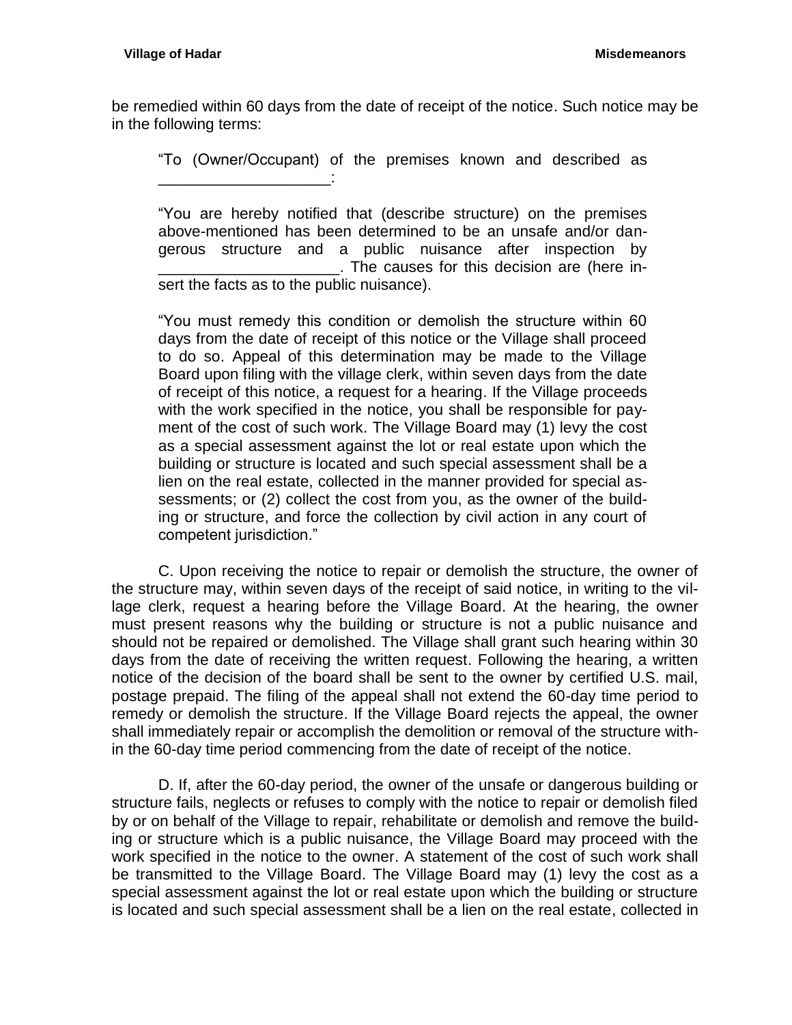be remedied within 60 days from the date of receipt of the notice. Such notice may be in the following terms:

"To (Owner/Occupant) of the premises known and described as \_\_\_\_\_\_\_\_\_\_\_\_\_\_\_\_\_\_\_\_:

"You are hereby notified that (describe structure) on the premises above-mentioned has been determined to be an unsafe and/or dangerous structure and a public nuisance after inspection by \_\_\_\_\_\_\_\_\_\_\_\_\_\_\_\_\_\_\_\_\_. The causes for this decision are (here insert the facts as to the public nuisance).

"You must remedy this condition or demolish the structure within 60 days from the date of receipt of this notice or the Village shall proceed to do so. Appeal of this determination may be made to the Village Board upon filing with the village clerk, within seven days from the date of receipt of this notice, a request for a hearing. If the Village proceeds with the work specified in the notice, you shall be responsible for payment of the cost of such work. The Village Board may (1) levy the cost as a special assessment against the lot or real estate upon which the building or structure is located and such special assessment shall be a lien on the real estate, collected in the manner provided for special assessments; or (2) collect the cost from you, as the owner of the building or structure, and force the collection by civil action in any court of competent jurisdiction."

C. Upon receiving the notice to repair or demolish the structure, the owner of the structure may, within seven days of the receipt of said notice, in writing to the village clerk, request a hearing before the Village Board. At the hearing, the owner must present reasons why the building or structure is not a public nuisance and should not be repaired or demolished. The Village shall grant such hearing within 30 days from the date of receiving the written request. Following the hearing, a written notice of the decision of the board shall be sent to the owner by certified U.S. mail, postage prepaid. The filing of the appeal shall not extend the 60-day time period to remedy or demolish the structure. If the Village Board rejects the appeal, the owner shall immediately repair or accomplish the demolition or removal of the structure within the 60-day time period commencing from the date of receipt of the notice.

D. If, after the 60-day period, the owner of the unsafe or dangerous building or structure fails, neglects or refuses to comply with the notice to repair or demolish filed by or on behalf of the Village to repair, rehabilitate or demolish and remove the building or structure which is a public nuisance, the Village Board may proceed with the work specified in the notice to the owner. A statement of the cost of such work shall be transmitted to the Village Board. The Village Board may (1) levy the cost as a special assessment against the lot or real estate upon which the building or structure is located and such special assessment shall be a lien on the real estate, collected in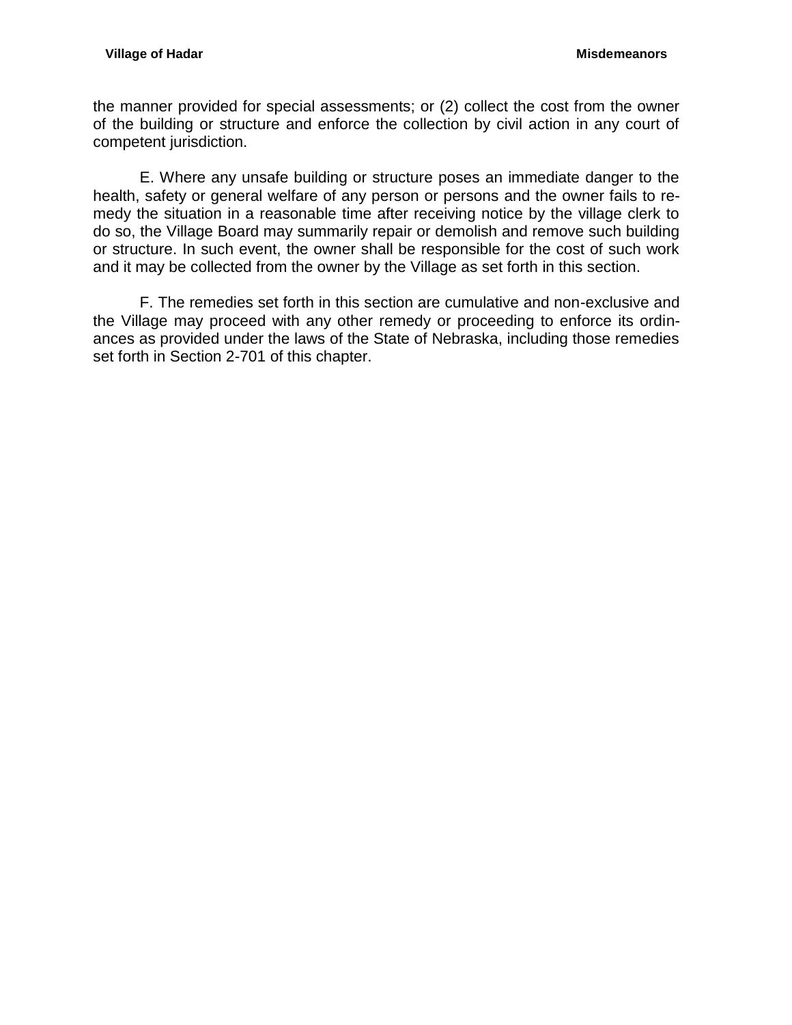the manner provided for special assessments; or (2) collect the cost from the owner of the building or structure and enforce the collection by civil action in any court of competent jurisdiction.

E. Where any unsafe building or structure poses an immediate danger to the health, safety or general welfare of any person or persons and the owner fails to remedy the situation in a reasonable time after receiving notice by the village clerk to do so, the Village Board may summarily repair or demolish and remove such building or structure. In such event, the owner shall be responsible for the cost of such work and it may be collected from the owner by the Village as set forth in this section.

F. The remedies set forth in this section are cumulative and non-exclusive and the Village may proceed with any other remedy or proceeding to enforce its ordinances as provided under the laws of the State of Nebraska, including those remedies set forth in Section 2-701 of this chapter.